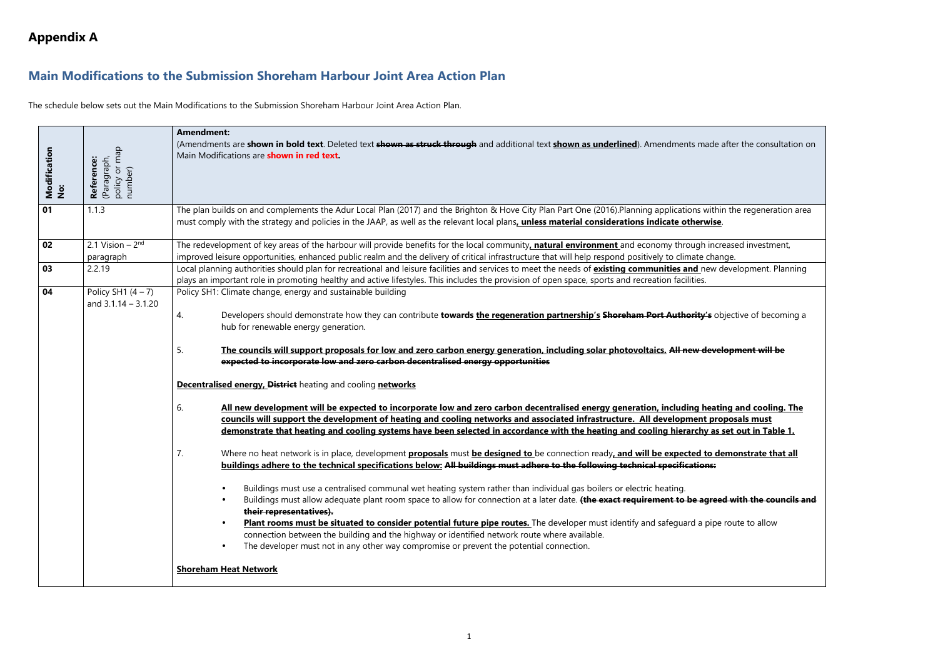**buildum** and the regeneration area

increased investment, ew development. Planning

 $\frac{1}{2}$  objective of becoming a

# **Main Modifications to the Submission Shoreham Harbour Joint Area Action Plan**

The schedule below sets out the Main Modifications to the Submission Shoreham Harbour Joint Area Action Plan.

| Modification<br>No: | policy or map<br>Reference:<br>(Paragraph,<br>number) | <b>Amendment:</b><br>(Amendments are shown in bold text. Deleted text shown as struck through and additional text shown as underlined). Amendments made afte<br>Main Modifications are <b>shown in red text.</b>                                                                                                                                                                                                                                                                                                                                                                                                                                                                                                                                                                                                                                                                                                                                                                                                                                                                                                                                                                                                                                                                                                                                                                                                                                                                                                                                                                                                                                                                                                                                                                                                                                                                                                                                                                                                                   |
|---------------------|-------------------------------------------------------|------------------------------------------------------------------------------------------------------------------------------------------------------------------------------------------------------------------------------------------------------------------------------------------------------------------------------------------------------------------------------------------------------------------------------------------------------------------------------------------------------------------------------------------------------------------------------------------------------------------------------------------------------------------------------------------------------------------------------------------------------------------------------------------------------------------------------------------------------------------------------------------------------------------------------------------------------------------------------------------------------------------------------------------------------------------------------------------------------------------------------------------------------------------------------------------------------------------------------------------------------------------------------------------------------------------------------------------------------------------------------------------------------------------------------------------------------------------------------------------------------------------------------------------------------------------------------------------------------------------------------------------------------------------------------------------------------------------------------------------------------------------------------------------------------------------------------------------------------------------------------------------------------------------------------------------------------------------------------------------------------------------------------------|
| 01                  | 1.1.3                                                 | The plan builds on and complements the Adur Local Plan (2017) and the Brighton & Hove City Plan Part One (2016).Planning applications within th<br>must comply with the strategy and policies in the JAAP, as well as the relevant local plans, unless material considerations indicate otherwise.                                                                                                                                                                                                                                                                                                                                                                                                                                                                                                                                                                                                                                                                                                                                                                                                                                                                                                                                                                                                                                                                                                                                                                                                                                                                                                                                                                                                                                                                                                                                                                                                                                                                                                                                 |
| 02<br>03            | 2.1 Vision $-2nd$<br>paragraph<br>2.2.19              | The redevelopment of key areas of the harbour will provide benefits for the local community <u>, natural environment</u> and economy through increas<br>improved leisure opportunities, enhanced public realm and the delivery of critical infrastructure that will help respond positively to climate change.<br>Local planning authorities should plan for recreational and leisure facilities and services to meet the needs of <b>existing communities and</b> new deve                                                                                                                                                                                                                                                                                                                                                                                                                                                                                                                                                                                                                                                                                                                                                                                                                                                                                                                                                                                                                                                                                                                                                                                                                                                                                                                                                                                                                                                                                                                                                        |
| 04                  | Policy SH1 $(4 - 7)$<br>and $3.1.14 - 3.1.20$         | plays an important role in promoting healthy and active lifestyles. This includes the provision of open space, sports and recreation facilities.<br>Policy SH1: Climate change, energy and sustainable building<br>Developers should demonstrate how they can contribute towards the regeneration partnership's Shoreham Port Authority's objec<br>4.<br>hub for renewable energy generation.<br>5.<br>The councils will support proposals for low and zero carbon energy generation, including solar photovoltaics. All new develop<br>expected to incorporate low and zero carbon decentralised energy opportunities<br><b>Decentralised energy, District</b> heating and cooling networks<br>6.<br>All new development will be expected to incorporate low and zero carbon decentralised energy generation, including heating<br>councils will support the development of heating and cooling networks and associated infrastructure. All development propos<br>demonstrate that heating and cooling systems have been selected in accordance with the heating and cooling hierarchy as set<br>Where no heat network is in place, development <b>proposals</b> must <b>be designed to</b> be connection ready, and will be expected to demo<br>7.<br>buildings adhere to the technical specifications below: All buildings must adhere to the following technical specifications:<br>Buildings must use a centralised communal wet heating system rather than individual gas boilers or electric heating.<br>Buildings must allow adequate plant room space to allow for connection at a later date. (the exact requirement to be agreed w<br>their representatives).<br>Plant rooms must be situated to consider potential future pipe routes. The developer must identify and safeguard a pipe rou<br>connection between the building and the highway or identified network route where available.<br>The developer must not in any other way compromise or prevent the potential connection.<br><b>Shoreham Heat Network</b> |

5. **The councils will support proposals for low and zero carbon energy generation, including solar photovoltaics. All new development will be** 

<u>eating and cooling. The reating and inco</u> t proposals must **as set out in Table 1.** 

<u>to demonstrate that all</u>

• Buildings must allow adequate plant room space to allow for connection at a later date. **(the exact requirement to be agreed with the councils and** 

pipe route to allow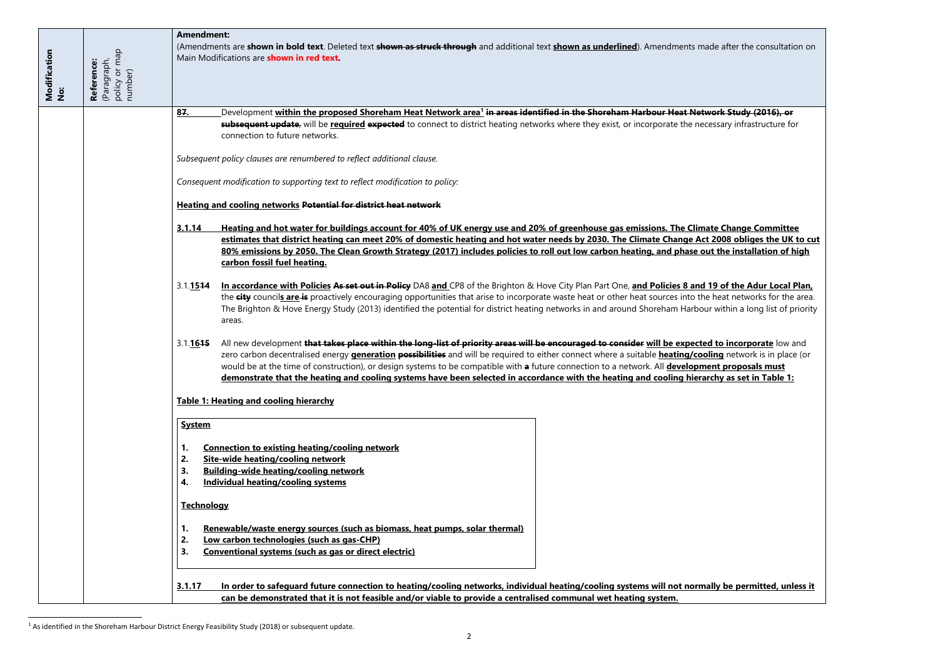| Modification<br>No: | policy or map<br>number)<br>(Paragraph,<br>Reference: | <b>Amendment:</b>                                                            | (Amendments are shown in bold text. Deleted text shown as struck through and additional text shown as underlined). Amendments ma<br>Main Modifications are shown in red text.                                                                                                                                                                                                                                                                                                                                                                                                                                                                                                                                                                                                                                      |  |
|---------------------|-------------------------------------------------------|------------------------------------------------------------------------------|--------------------------------------------------------------------------------------------------------------------------------------------------------------------------------------------------------------------------------------------------------------------------------------------------------------------------------------------------------------------------------------------------------------------------------------------------------------------------------------------------------------------------------------------------------------------------------------------------------------------------------------------------------------------------------------------------------------------------------------------------------------------------------------------------------------------|--|
|                     |                                                       | 87.                                                                          | Development <u>wi<mark>thin the proposed Shoreham Heat Network area<sup>1</sup> i<del>n areas identified in the Shoreham Harbour Heat Net</del></mark></u><br>subsequent update, will be required expected to connect to district heating networks where they exist, or incorporate the ned<br>connection to future networks.                                                                                                                                                                                                                                                                                                                                                                                                                                                                                      |  |
|                     |                                                       |                                                                              | Subsequent policy clauses are renumbered to reflect additional clause.                                                                                                                                                                                                                                                                                                                                                                                                                                                                                                                                                                                                                                                                                                                                             |  |
|                     |                                                       |                                                                              | Consequent modification to supporting text to reflect modification to policy:                                                                                                                                                                                                                                                                                                                                                                                                                                                                                                                                                                                                                                                                                                                                      |  |
|                     |                                                       |                                                                              | <b>Heating and cooling networks Potential for district heat network</b>                                                                                                                                                                                                                                                                                                                                                                                                                                                                                                                                                                                                                                                                                                                                            |  |
|                     |                                                       | 3.1.14<br>3.1.1544                                                           | Heating and hot water for buildings account for 40% of UK energy use and 20% of greenhouse gas emissions. The Clima<br>estimates that district heating can meet 20% of domestic heating and hot water needs by 2030. The Climate Change Act<br>80% emissions by 2050. The Clean Growth Strategy (2017) includes policies to roll out low carbon heating, and phase or<br>carbon fossil fuel heating.<br>In accordance with Policies As set out in Policy DA8 and CP8 of the Brighton & Hove City Plan Part One, and Policies 8 and<br>the city councils are is proactively encouraging opportunities that arise to incorporate waste heat or other heat sources into the<br>The Brighton & Hove Energy Study (2013) identified the potential for district heating networks in and around Shoreham Harbou<br>areas. |  |
|                     |                                                       | 3.1.1615                                                                     | All new development that takes place within the long-list of priority areas will be encouraged to consider will be expecte<br>zero carbon decentralised energy <b>generation possibilities</b> and will be required to either connect where a suitable <b>heating/cod</b><br>would be at the time of construction), or design systems to be compatible with a future connection to a network. All developm<br>demonstrate that the heating and cooling systems have been selected in accordance with the heating and cooling hiera                                                                                                                                                                                                                                                                                 |  |
|                     |                                                       |                                                                              | Table 1: Heating and cooling hierarchy                                                                                                                                                                                                                                                                                                                                                                                                                                                                                                                                                                                                                                                                                                                                                                             |  |
|                     |                                                       | <b>System</b><br>1.<br>2.<br>3.<br>4.<br><b>Technology</b><br>1.<br>2.<br>3. | <b>Connection to existing heating/cooling network</b><br>Site-wide heating/cooling network<br><b>Building-wide heating/cooling network</b><br><b>Individual heating/cooling systems</b><br>Renewable/waste energy sources (such as biomass, heat pumps, solar thermal)<br>Low carbon technologies (such as gas-CHP)<br>Conventional systems (such as gas or direct electric)                                                                                                                                                                                                                                                                                                                                                                                                                                       |  |
|                     |                                                       | 3.1.17                                                                       | In order to safequard future connection to heating/cooling networks, individual heating/cooling systems will not norm<br>can be demonstrated that it is not feasible and/or viable to provide a centralised communal wet heating system.                                                                                                                                                                                                                                                                                                                                                                                                                                                                                                                                                                           |  |

<sup>&</sup>lt;sup>1</sup> As identified in the Shoreham Harbour District Energy Feasibility Study (2018) or subsequent update.

 $\overline{\phantom{a}}$ 

**in areas identified in the Shoreham Harbour Heat Network Study (2016), or** 

cessary infrastructure for

<u>ate Change Committee</u> **estimates that district heating can meet 20% of domestic heating and hot water needs by 2030. The Climate Change Act 2008 obliges the UK to cut**  <u>but the installation of high </u>

<u>**I** 19 of the Adur Local Plan, </u> **ie** heat networks for the area. ur within a long list of priority

**<u>ed to incorporate</u> low and <u>oling</u>** network is in place (or **nent proposals must demonstrate in Table 1:** archy as set in Table 1:

**3.1.17 In order to safeguard future connection to heating/cooling networks, individual heating/cooling systems will not normally be permitted, unless it**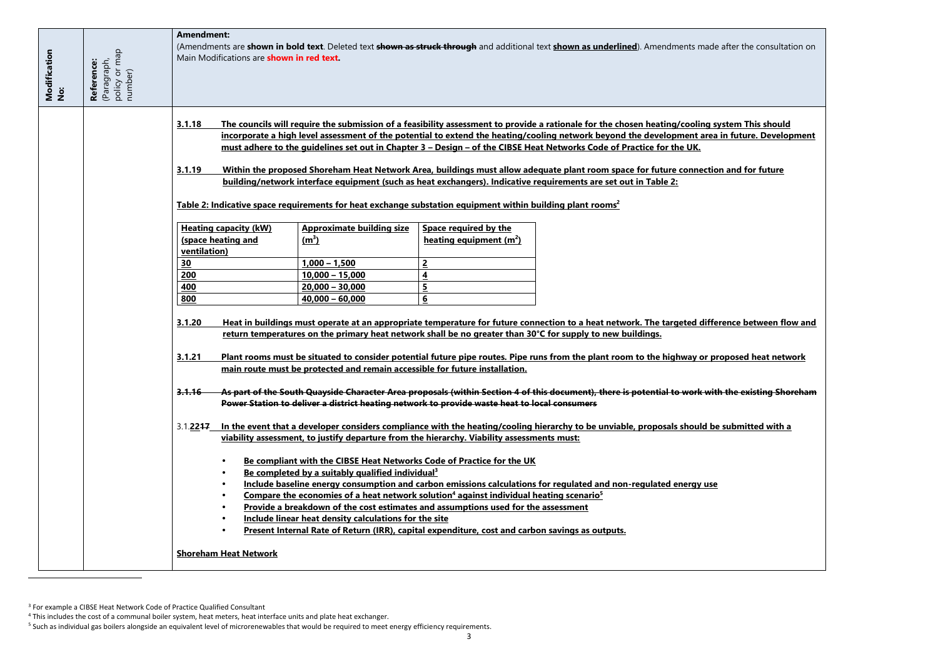| Modification<br>No: | policy or map<br>number)<br>(Paragraph,<br>Reference: | <b>Amendment:</b><br>Main Modifications are <b>shown in red text.</b> |                                                                                                                                       |                                     | (Amendments are shown in bold text. Deleted text shown as struck through and additional text shown as underlined). Amendments made                                                                                                                                                                                                                                                                                                                                                                                                                                                                                        |
|---------------------|-------------------------------------------------------|-----------------------------------------------------------------------|---------------------------------------------------------------------------------------------------------------------------------------|-------------------------------------|---------------------------------------------------------------------------------------------------------------------------------------------------------------------------------------------------------------------------------------------------------------------------------------------------------------------------------------------------------------------------------------------------------------------------------------------------------------------------------------------------------------------------------------------------------------------------------------------------------------------------|
|                     |                                                       | 3.1.18<br>3.1.19                                                      | Table 2: Indicative space requirements for heat exchange substation equipment within building plant rooms <sup>2</sup>                |                                     | The councils will require the submission of a feasibility assessment to provide a rationale for the chosen heating/cooling s<br>incorporate a high level assessment of the potential to extend the heating/cooling network beyond the development area<br>must adhere to the quidelines set out in Chapter 3 - Design - of the CIBSE Heat Networks Code of Practice for the UK.<br>Within the proposed Shoreham Heat Network Area, buildings must allow adequate plant room space for future connectic<br>building/network interface equipment (such as heat exchangers). Indicative requirements are set out in Table 2: |
|                     |                                                       | <b>Heating capacity (kW)</b>                                          | <b>Approximate building size</b>                                                                                                      | Space required by the               |                                                                                                                                                                                                                                                                                                                                                                                                                                                                                                                                                                                                                           |
|                     |                                                       | (space heating and                                                    | (m <sup>3</sup> )                                                                                                                     | heating equipment (m <sup>2</sup> ) |                                                                                                                                                                                                                                                                                                                                                                                                                                                                                                                                                                                                                           |
|                     |                                                       | ventilation)                                                          |                                                                                                                                       |                                     |                                                                                                                                                                                                                                                                                                                                                                                                                                                                                                                                                                                                                           |
|                     |                                                       | 30                                                                    | $1,000 - 1,500$                                                                                                                       | $\overline{2}$                      |                                                                                                                                                                                                                                                                                                                                                                                                                                                                                                                                                                                                                           |
|                     |                                                       | 200                                                                   | $10,000 - 15,000$                                                                                                                     | $\overline{\mathbf{4}}$             |                                                                                                                                                                                                                                                                                                                                                                                                                                                                                                                                                                                                                           |
|                     |                                                       | 400                                                                   | $20,000 - 30,000$                                                                                                                     | $\overline{\mathbf{5}}$             |                                                                                                                                                                                                                                                                                                                                                                                                                                                                                                                                                                                                                           |
|                     |                                                       | 800                                                                   | $40,000 - 60,000$                                                                                                                     | $6 \overline{6}$                    |                                                                                                                                                                                                                                                                                                                                                                                                                                                                                                                                                                                                                           |
|                     |                                                       | 3.1.20<br>3.1.21                                                      | main route must be protected and remain accessible for future installation.                                                           |                                     | Heat in buildings must operate at an appropriate temperature for future connection to a heat network. The targeted diffe<br>return temperatures on the primary heat network shall be no greater than 30°C for supply to new buildings.<br>Plant rooms must be situated to consider potential future pipe routes. Pipe runs from the plant room to the highway or pi                                                                                                                                                                                                                                                       |
|                     |                                                       | 3.1.16                                                                | Power Station to deliver a district heating network to provide waste heat to local consumers                                          |                                     | As part of the South Quayside Character Area proposals (within Section 4 of this document), there is potential to work wit                                                                                                                                                                                                                                                                                                                                                                                                                                                                                                |
|                     |                                                       |                                                                       | viability assessment, to justify departure from the hierarchy. Viability assessments must:                                            |                                     | 3.1.2247 In the event that a developer considers compliance with the heating/cooling hierarchy to be unviable, proposals should be                                                                                                                                                                                                                                                                                                                                                                                                                                                                                        |
|                     |                                                       |                                                                       | Be compliant with the CIBSE Heat Networks Code of Practice for the UK<br>Be completed by a suitably qualified individual <sup>3</sup> |                                     |                                                                                                                                                                                                                                                                                                                                                                                                                                                                                                                                                                                                                           |
|                     |                                                       |                                                                       |                                                                                                                                       |                                     | Include baseline energy consumption and carbon emissions calculations for regulated and non-regulated energy use                                                                                                                                                                                                                                                                                                                                                                                                                                                                                                          |
|                     |                                                       |                                                                       | Compare the economies of a heat network solution <sup>4</sup> against individual heating scenario <sup>5</sup>                        |                                     |                                                                                                                                                                                                                                                                                                                                                                                                                                                                                                                                                                                                                           |
|                     |                                                       |                                                                       | Provide a breakdown of the cost estimates and assumptions used for the assessment                                                     |                                     |                                                                                                                                                                                                                                                                                                                                                                                                                                                                                                                                                                                                                           |
|                     |                                                       |                                                                       | Include linear heat density calculations for the site                                                                                 |                                     |                                                                                                                                                                                                                                                                                                                                                                                                                                                                                                                                                                                                                           |
|                     |                                                       |                                                                       | Present Internal Rate of Return (IRR), capital expenditure, cost and carbon savings as outputs.                                       |                                     |                                                                                                                                                                                                                                                                                                                                                                                                                                                                                                                                                                                                                           |
|                     |                                                       | <b>Shoreham Heat Network</b>                                          |                                                                                                                                       |                                     |                                                                                                                                                                                                                                                                                                                                                                                                                                                                                                                                                                                                                           |

<sup>&</sup>lt;sup>3</sup> For example a CIBSE Heat Network Code of Practice Qualified Consultant

 $\overline{\phantom{a}}$ 

## <u>g system This should</u> <u>iea in future. Development</u>

# <u>tion and for future.</u>

<u>**ifference between flow and**</u>

**proposed heat network** 

**3.1.16 As part of the South Quayside Character Area proposals (within Section 4 of this document), there is potential to work with the existing Shoreham** 

**be submitted with a** be submitted with a

<sup>4</sup> This includes the cost of a communal boiler system, heat meters, heat interface units and plate heat exchanger.

<sup>&</sup>lt;sup>5</sup> Such as individual gas boilers alongside an equivalent level of microrenewables that would be required to meet energy efficiency requirements.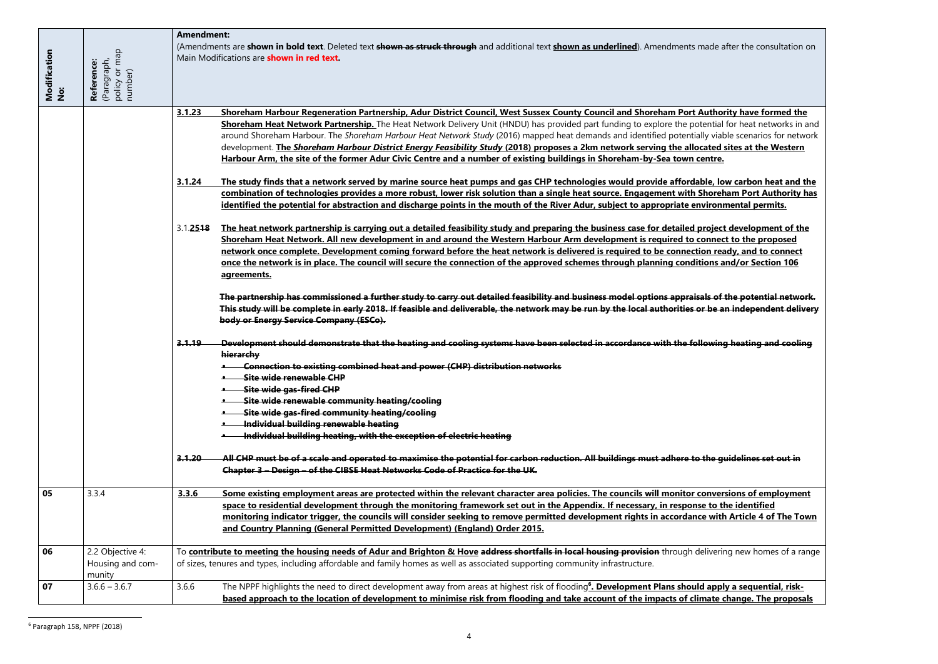| ade after the consultation on                                                                                                                           |
|---------------------------------------------------------------------------------------------------------------------------------------------------------|
|                                                                                                                                                         |
| <u>uthority have formed the</u><br>ntial for heat networks in and<br>y viable scenarios for network<br><u>ited sites at the Western</u><br><u>ntre.</u> |
| <u>le, low carbon heat and the </u><br><u>  noreham Port Authority has</u><br><u>ironmental permits.</u>                                                |
| <u>oject development of the </u><br><u>nnect to the proposed</u><br>n ready, and to connect<br><u>ons and/or Section 106</u>                            |
| s of the potential network.<br>be an independent delivery                                                                                               |
| wing heating and cooling                                                                                                                                |
|                                                                                                                                                         |
|                                                                                                                                                         |
| he guidelines set out in                                                                                                                                |
| nversions of employment<br>to the identified<br>with Article 4 of The Town                                                                              |
| ivering new homes of a range                                                                                                                            |

| Modification<br>No: | (Paragraph,<br>policy or map<br>number)<br>Reference: | <b>Amendment:</b> | (Amendments are shown in bold text. Deleted text shown as struck through and additional text shown as underlined). Amendments made after the consultation on<br>Main Modifications are <b>shown in red text.</b>                                                                                                                                                                                                                                                                                                                                                                        |
|---------------------|-------------------------------------------------------|-------------------|-----------------------------------------------------------------------------------------------------------------------------------------------------------------------------------------------------------------------------------------------------------------------------------------------------------------------------------------------------------------------------------------------------------------------------------------------------------------------------------------------------------------------------------------------------------------------------------------|
|                     |                                                       | 3.1.23            | Shoreham Harbour Regeneration Partnership, Adur District Council, West Sussex County Council and Shoreham Port Authority have formed the                                                                                                                                                                                                                                                                                                                                                                                                                                                |
|                     |                                                       |                   | Shoreham Heat Network Partnership. The Heat Network Delivery Unit (HNDU) has provided part funding to explore the potential for heat networks in and<br>around Shoreham Harbour. The Shoreham Harbour Heat Network Study (2016) mapped heat demands and identified potentially viable scenarios for network<br>development. The Shoreham Harbour District Energy Feasibility Study (2018) proposes a 2km network serving the allocated sites at the Western<br>Harbour Arm, the site of the former Adur Civic Centre and a number of existing buildings in Shoreham-by-Sea town centre. |
|                     |                                                       | 3.1.24            |                                                                                                                                                                                                                                                                                                                                                                                                                                                                                                                                                                                         |
|                     |                                                       |                   | The study finds that a network served by marine source heat pumps and gas CHP technologies would provide affordable, low carbon heat and the<br>combination of technologies provides a more robust, lower risk solution than a single heat source. Engagement with Shoreham Port Authority has                                                                                                                                                                                                                                                                                          |
|                     |                                                       |                   | identified the potential for abstraction and discharge points in the mouth of the River Adur, subject to appropriate environmental permits.                                                                                                                                                                                                                                                                                                                                                                                                                                             |
|                     |                                                       | 3.1.2518          | The heat network partnership is carrying out a detailed feasibility study and preparing the business case for detailed project development of the                                                                                                                                                                                                                                                                                                                                                                                                                                       |
|                     |                                                       |                   | Shoreham Heat Network. All new development in and around the Western Harbour Arm development is required to connect to the proposed                                                                                                                                                                                                                                                                                                                                                                                                                                                     |
|                     |                                                       |                   | network once complete. Development coming forward before the heat network is delivered is required to be connection ready, and to connect                                                                                                                                                                                                                                                                                                                                                                                                                                               |
|                     |                                                       |                   | once the network is in place. The council will secure the connection of the approved schemes through planning conditions and/or Section 106                                                                                                                                                                                                                                                                                                                                                                                                                                             |
|                     |                                                       |                   | agreements.                                                                                                                                                                                                                                                                                                                                                                                                                                                                                                                                                                             |
|                     |                                                       |                   | The partnership has commissioned a further study to carry out detailed feasibility and business model options appraisals of the potential network.<br>This study will be complete in early 2018. If feasible and deliverable, the network may be run by the local authorities or be an independent delivery<br>body or Energy Service Company (ESCo).                                                                                                                                                                                                                                   |
|                     |                                                       | <u>3.1.19</u>     | Development should demonstrate that the heating and cooling systems have been selected in accordance with the following heating and cooling                                                                                                                                                                                                                                                                                                                                                                                                                                             |
|                     |                                                       |                   | hierarchy                                                                                                                                                                                                                                                                                                                                                                                                                                                                                                                                                                               |
|                     |                                                       |                   | <b>*</b> Connection to existing combined heat and power (CHP) distribution networks                                                                                                                                                                                                                                                                                                                                                                                                                                                                                                     |
|                     |                                                       |                   | • Site wide renewable CHP                                                                                                                                                                                                                                                                                                                                                                                                                                                                                                                                                               |
|                     |                                                       |                   | Site wide gas-fired CHP                                                                                                                                                                                                                                                                                                                                                                                                                                                                                                                                                                 |
|                     |                                                       |                   | Site wide renewable community heating/cooling                                                                                                                                                                                                                                                                                                                                                                                                                                                                                                                                           |
|                     |                                                       |                   | Site wide gas-fired community heating/cooling                                                                                                                                                                                                                                                                                                                                                                                                                                                                                                                                           |
|                     |                                                       |                   | Individual building renewable heating<br>Individual building heating, with the exception of electric heating                                                                                                                                                                                                                                                                                                                                                                                                                                                                            |
|                     |                                                       |                   |                                                                                                                                                                                                                                                                                                                                                                                                                                                                                                                                                                                         |
|                     |                                                       | 3.1.20            | All CHP must be of a scale and operated to maximise the potential for carbon reduction. All buildings must adhere to the guidelines set out in                                                                                                                                                                                                                                                                                                                                                                                                                                          |
|                     |                                                       |                   | Chapter 3 - Design - of the CIBSE Heat Networks Code of Practice for the UK.                                                                                                                                                                                                                                                                                                                                                                                                                                                                                                            |
| 05                  | 3.3.4                                                 | 3.3.6             | Some existing employment areas are protected within the relevant character area policies. The councils will monitor conversions of employment                                                                                                                                                                                                                                                                                                                                                                                                                                           |
|                     |                                                       |                   | space to residential development through the monitoring framework set out in the Appendix. If necessary, in response to the identified                                                                                                                                                                                                                                                                                                                                                                                                                                                  |
|                     |                                                       |                   | monitoring indicator trigger, the councils will consider seeking to remove permitted development rights in accordance with Article 4 of The Town                                                                                                                                                                                                                                                                                                                                                                                                                                        |
|                     |                                                       |                   | and Country Planning (General Permitted Development) (England) Order 2015.                                                                                                                                                                                                                                                                                                                                                                                                                                                                                                              |
| 06                  | 2.2 Objective 4:                                      |                   | To contribute to meeting the housing needs of Adur and Brighton & Hove address shortfalls in local housing provision through delivering new homes of a range                                                                                                                                                                                                                                                                                                                                                                                                                            |
|                     | Housing and com-                                      |                   | of sizes, tenures and types, including affordable and family homes as well as associated supporting community infrastructure.                                                                                                                                                                                                                                                                                                                                                                                                                                                           |
|                     | munity                                                |                   |                                                                                                                                                                                                                                                                                                                                                                                                                                                                                                                                                                                         |
| 07                  | $3.6.6 - 3.6.7$                                       | 3.6.6             | The NPPF highlights the need to direct development away from areas at highest risk of flooding <sup>6</sup> . Development Plans should apply a sequential, risk-                                                                                                                                                                                                                                                                                                                                                                                                                        |
|                     |                                                       |                   | based approach to the location of development to minimise risk from flooding and take account of the impacts of climate change. The proposals                                                                                                                                                                                                                                                                                                                                                                                                                                           |

 $\overline{\phantom{a}}$ <sup>6</sup> Paragraph 158, NPPF (2018)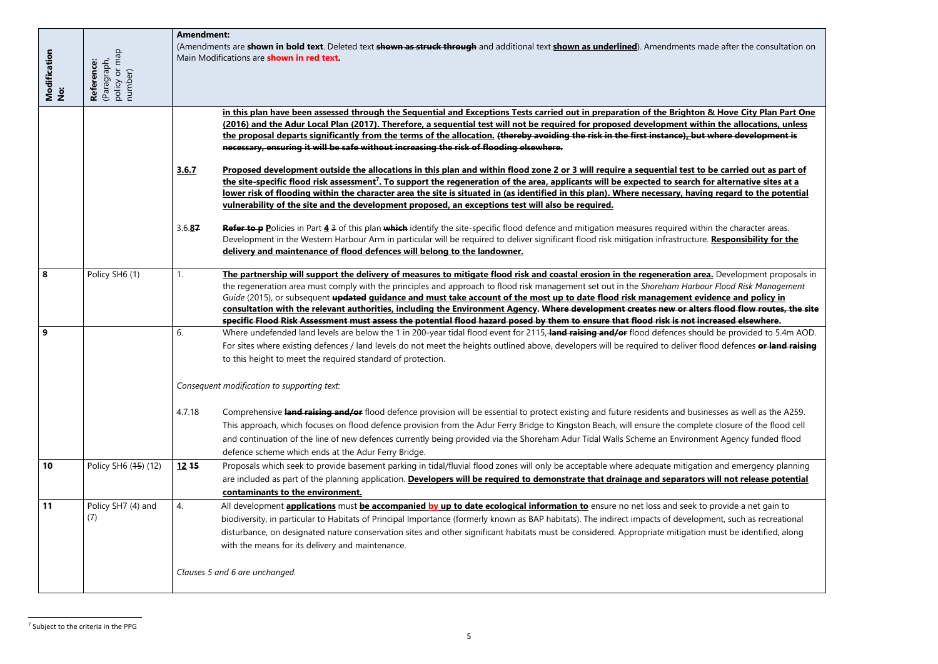| Modification<br>No: | policy or map<br>number)<br>(Paragraph,<br>Reference: | <b>Amendment:</b> | (Amendments are shown in bold text. Deleted text shown as struck through and additional text shown as underlined). Amendments ma<br>Main Modifications are shown in red text.                                                                                                                                                                                                                                                                                                                                                                                                                        |
|---------------------|-------------------------------------------------------|-------------------|------------------------------------------------------------------------------------------------------------------------------------------------------------------------------------------------------------------------------------------------------------------------------------------------------------------------------------------------------------------------------------------------------------------------------------------------------------------------------------------------------------------------------------------------------------------------------------------------------|
|                     |                                                       |                   | in this plan have been assessed through the Sequential and Exceptions Tests carried out in preparation of the Brighton<br>(2016) and the Adur Local Plan (2017). Therefore, a sequential test will not be required for proposed development with<br>the proposal departs significantly from the terms of the allocation. (thereby avoiding the risk in the first instance), but                                                                                                                                                                                                                      |
|                     |                                                       | 3.6.7             | necessary, ensuring it will be safe without increasing the risk of flooding elsewhere.<br>Proposed development outside the allocations in this plan and within flood zone 2 or 3 will require a sequential test to<br>the site-specific flood risk assessment <sup>7</sup> . To support the regeneration of the area, applicants will be expected to search fo<br>lower risk of flooding within the character area the site is situated in (as identified in this plan). Where necessary, havin<br>vulnerability of the site and the development proposed, an exceptions test will also be required. |
|                     |                                                       | 3.6.87            | Refer to p Policies in Part 4 3 of this plan which identify the site-specific flood defence and mitigation measures required withi<br>Development in the Western Harbour Arm in particular will be required to deliver significant flood risk mitigation infrastructure.<br>delivery and maintenance of flood defences will belong to the landowner.                                                                                                                                                                                                                                                 |
| 8                   | Policy SH6 (1)                                        | 1.                | The partnership will support the delivery of measures to mitigate flood risk and coastal erosion in the regeneration area<br>the regeneration area must comply with the principles and approach to flood risk management set out in the Shoreham Harbou<br>Guide (2015), or subsequent updated guidance and must take account of the most up to date flood risk management evid                                                                                                                                                                                                                      |
|                     |                                                       |                   | consultation with the relevant authorities, including the Environment Agency. Where development creates new or alter<br>specific Flood Risk Assessment must assess the potential flood hazard posed by them to ensure that flood risk is not inc                                                                                                                                                                                                                                                                                                                                                     |
| 9                   |                                                       | 6.                | Where undefended land levels are below the 1 in 200-year tidal flood event for 2115, land raising and/or flood defences shoul<br>For sites where existing defences / land levels do not meet the heights outlined above, developers will be required to deliver flo<br>to this height to meet the required standard of protection.                                                                                                                                                                                                                                                                   |
|                     |                                                       |                   | Consequent modification to supporting text:                                                                                                                                                                                                                                                                                                                                                                                                                                                                                                                                                          |
|                     |                                                       | 4.7.18            | Comprehensive land raising and/or flood defence provision will be essential to protect existing and future residents and busin<br>This approach, which focuses on flood defence provision from the Adur Ferry Bridge to Kingston Beach, will ensure the complet<br>and continuation of the line of new defences currently being provided via the Shoreham Adur Tidal Walls Scheme an Environme<br>defence scheme which ends at the Adur Ferry Bridge.                                                                                                                                                |
| 10                  | Policy SH6 (45) (12)                                  | $12 + 5$          | Proposals which seek to provide basement parking in tidal/fluvial flood zones will only be acceptable where adequate mitigatio<br>are included as part of the planning application. Developers will be required to demonstrate that drainage and separators v<br>contaminants to the environment.                                                                                                                                                                                                                                                                                                    |
| 11                  | Policy SH7 (4) and<br>(7)                             | 4.                | All development applications must be accompanied by up to date ecological information to ensure no net loss and seek to<br>biodiversity, in particular to Habitats of Principal Importance (formerly known as BAP habitats). The indirect impacts of developn<br>disturbance, on designated nature conservation sites and other significant habitats must be considered. Appropriate mitigation<br>with the means for its delivery and maintenance.                                                                                                                                                  |
|                     |                                                       |                   | Clauses 5 and 6 are unchanged.                                                                                                                                                                                                                                                                                                                                                                                                                                                                                                                                                                       |

 $\overline{\phantom{a}}$ <sup>7</sup> Subject to the criteria in the PPG

**i** & Hove City Plan Part One **(2015) in the allocations, unless the development is** 

**be carried out as part of <u>.**<br>Tor alternative sites at a</u> **lower is site is footential** in the potential

in the character areas. <u>Responsibility for the Responsibility </u>

**8** Policy Support the proposals in the regeneration area ment complet the principles and approach to the *slood Risk Management* **idence and policy in** r<del>s flood flow routes, the site</del> **specific Flood Risk Assessment must assess the potential flood hazard posed by them to ensure that flood risk is not increased elsewhere.**

**Parable deprovided to 5.4m AOD.** ood defences **or land raising** 

nesses as well as the A259. te closure of the flood cell ent Agency funded flood

**1** Policies and emergency planning will not release potential

bedurent despielden<br>**b** provide a net gain to ment, such as recreational must be identified, along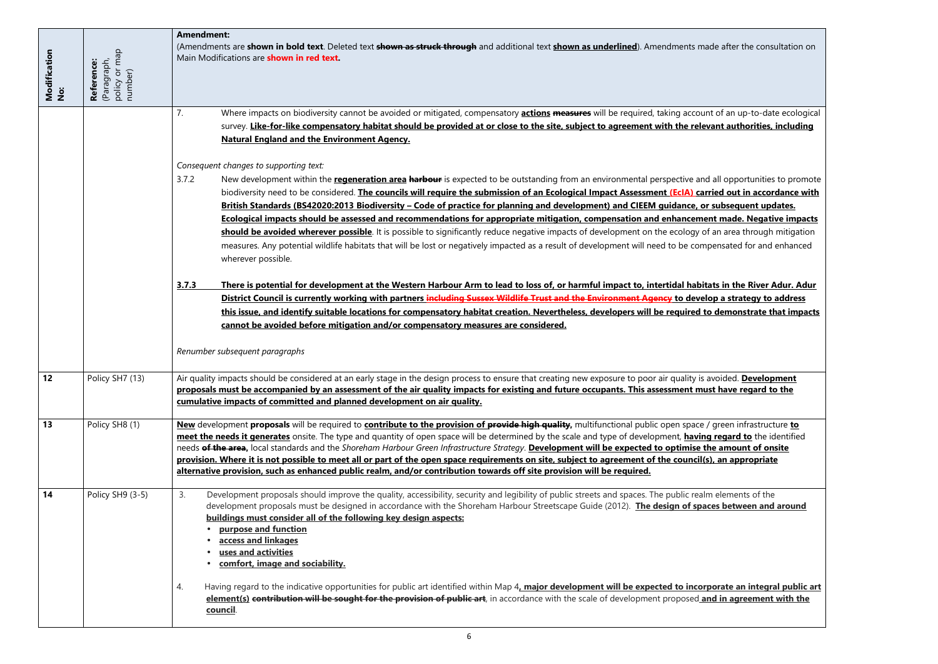7. Where impacts on biodiversity cannot be avoided or mitigated, compensatory **actions measures** will be required, taking account of an up-to-date ecological <u>evant authorities, including </u>

d all opportunities to promote is de **Tried out in accordance with British Standards (BS42020:2013 Biodiversity – Code of practice for planning and development) and CIEEM guidance, or subsequent updates. <u>Ent made. Negative impacts</u>** bf an area through mitigation npensated for and enhanced

<u>tats in the River Adur. Adur</u> **<u>lop a strategy to address</u>** <u>to demonstrate that impacts</u>

avoided. **Development propose <u>ust have regard to the</u>** 

**13** Policy SH8 (1) **New** development **proposals** will be required to **contribute to the provision of provide high quality,** multifunctional public open space / green infrastructure **to ng regard to** the identified **cheeds** and the amount of onsite **(s), an appropriate** 

aces between and around

4. Having regard to the indicative opportunities for public art identified within Map 4**, major development will be expected to incorporate an integral public art <u>and in agreement with the sou</u>** 

| Modification<br>No: | (Paragraph,<br>policy or map<br>Reference:<br>number) | <b>Amendment:</b><br>(Amendments are shown in bold text. Deleted text shown as struck through and additional text shown as underlined). Amendments made after the consu<br>Main Modifications are shown in red text.                                                                                                                                                                                                                                                                                                                                                                                                                                                                                                                                                 |
|---------------------|-------------------------------------------------------|----------------------------------------------------------------------------------------------------------------------------------------------------------------------------------------------------------------------------------------------------------------------------------------------------------------------------------------------------------------------------------------------------------------------------------------------------------------------------------------------------------------------------------------------------------------------------------------------------------------------------------------------------------------------------------------------------------------------------------------------------------------------|
|                     |                                                       | Where impacts on biodiversity cannot be avoided or mitigated, compensatory <b>actions measures</b> will be required, taking account of an up-to-date<br>7.<br>survey. Like-for-like compensatory habitat should be provided at or close to the site, subject to agreement with the relevant authorities, i<br><b>Natural England and the Environment Agency.</b>                                                                                                                                                                                                                                                                                                                                                                                                     |
|                     |                                                       | Consequent changes to supporting text:<br>New development within the regeneration area harbour is expected to be outstanding from an environmental perspective and all opportunities<br>3.7.2<br>biodiversity need to be considered. The councils will require the submission of an Ecological Impact Assessment (EcIA) carried out in accore<br>British Standards (BS42020:2013 Biodiversity - Code of practice for planning and development) and CIEEM guidance, or subsequent upd                                                                                                                                                                                                                                                                                 |
|                     |                                                       | Ecological impacts should be assessed and recommendations for appropriate mitigation, compensation and enhancement made. Negativ<br>should be avoided wherever possible. It is possible to significantly reduce negative impacts of development on the ecology of an area through<br>measures. Any potential wildlife habitats that will be lost or negatively impacted as a result of development will need to be compensated for and of<br>wherever possible.                                                                                                                                                                                                                                                                                                      |
|                     |                                                       | 3.7.3<br>There is potential for development at the Western Harbour Arm to lead to loss of, or harmful impact to, intertidal habitats in the River A<br>District Council is currently working with partners including Sussex Wildlife Trust and the Environment Agency to develop a strategy to a<br>this issue, and identify suitable locations for compensatory habitat creation. Nevertheless, developers will be required to demonstrate th<br>cannot be avoided before mitigation and/or compensatory measures are considered.                                                                                                                                                                                                                                   |
|                     |                                                       | Renumber subsequent paragraphs                                                                                                                                                                                                                                                                                                                                                                                                                                                                                                                                                                                                                                                                                                                                       |
| 12                  | Policy SH7 (13)                                       | Air quality impacts should be considered at an early stage in the design process to ensure that creating new exposure to poor air quality is avoided. Develop<br>proposals must be accompanied by an assessment of the air quality impacts for existing and future occupants. This assessment must have regard to<br>cumulative impacts of committed and planned development on air quality.                                                                                                                                                                                                                                                                                                                                                                         |
| 13                  | Policy SH8 (1)                                        | New development proposals will be required to contribute to the provision of provide high quality, multifunctional public open space / green infrastruction<br>meet the needs it generates onsite. The type and quantity of open space will be determined by the scale and type of development, having regard to the id<br>needs of the area, local standards and the Shoreham Harbour Green Infrastructure Strategy. Development will be expected to optimise the amount of ons<br>provision. Where it is not possible to meet all or part of the open space requirements on site, subject to agreement of the council(s), an appropriate<br>alternative provision, such as enhanced public realm, and/or contribution towards off site provision will be required. |
| 14                  | Policy SH9 (3-5)                                      | Development proposals should improve the quality, accessibility, security and legibility of public streets and spaces. The public realm elements of the<br>3.<br>development proposals must be designed in accordance with the Shoreham Harbour Streetscape Guide (2012). The design of spaces between and<br>buildings must consider all of the following key design aspects:<br>purpose and function<br>access and linkages<br>uses and activities<br>comfort, image and sociability.                                                                                                                                                                                                                                                                              |
|                     |                                                       | Having regard to the indicative opportunities for public art identified within Map 4, major development will be expected to incorporate an integra<br>4.<br>element(s) contribution will be sought for the provision of public art, in accordance with the scale of development proposed and in agreement<br>council.                                                                                                                                                                                                                                                                                                                                                                                                                                                |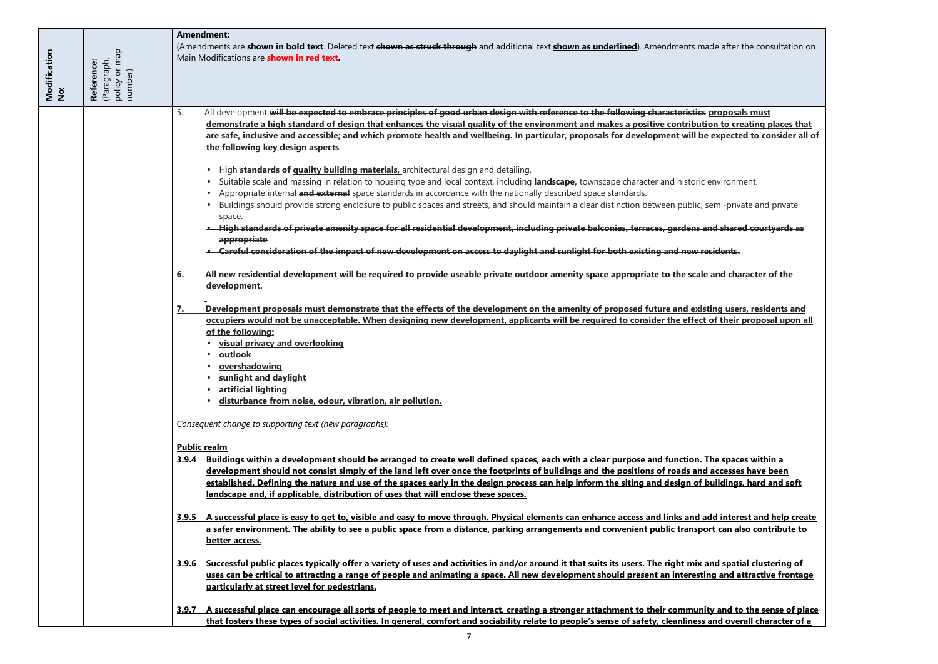5. All development **will be expected to embrace principles of good urban design with reference to the following characteristics proposals must diemation is design that design to creating places that** <u>expected to consider all of weight</u>

semi-private and private

• **High standards of private amenity space for all residential development, including private balconies, terraces, gardens and shared courtyards as** 

**and character of the** 

**fing users, residents and the proposition** of their proposal upon all

<u>The spaces within a</u> **development in the security of the simple security simple security simple security in the security of the simple strand simple security and accesses have been <u>buildings, hard and soft</u>** 

**dd interest and help create** <u>brt can also contribute to </u>

**<u>and spatial clustering of </u> ng and attractive frontage** 

**<u>ity and to the sense of place</u>**  $\overline{\phantom{x}}$ **and overall character of a** 

| Modification<br>No: | (Paragraph,<br>policy or map<br>number)<br>Reference: | <b>Amendment:</b><br>(Amendments are shown in bold text. Deleted text shown as struck through and additional text shown as underlined). Amendments made after the<br>Main Modifications are <b>shown in red text.</b>                                                                                                                                                                                                                                                                                                                                                                                                                                                                                                                                                                                                                                                                                                                                                                                                                                                                                                                                                                                                                                                                                                                                                                                                                                                                                                                                                                                                                                                                                                                                                                                                                                                                                                                                                                                                                                                                                                                                                                                                                                                                                                                                                                                                                                                                                                                                                                                                                                                                                                                                                                                                                                                                                                                                                                                                                                                                                                                                                                                                                                                                                                                                                                          |
|---------------------|-------------------------------------------------------|------------------------------------------------------------------------------------------------------------------------------------------------------------------------------------------------------------------------------------------------------------------------------------------------------------------------------------------------------------------------------------------------------------------------------------------------------------------------------------------------------------------------------------------------------------------------------------------------------------------------------------------------------------------------------------------------------------------------------------------------------------------------------------------------------------------------------------------------------------------------------------------------------------------------------------------------------------------------------------------------------------------------------------------------------------------------------------------------------------------------------------------------------------------------------------------------------------------------------------------------------------------------------------------------------------------------------------------------------------------------------------------------------------------------------------------------------------------------------------------------------------------------------------------------------------------------------------------------------------------------------------------------------------------------------------------------------------------------------------------------------------------------------------------------------------------------------------------------------------------------------------------------------------------------------------------------------------------------------------------------------------------------------------------------------------------------------------------------------------------------------------------------------------------------------------------------------------------------------------------------------------------------------------------------------------------------------------------------------------------------------------------------------------------------------------------------------------------------------------------------------------------------------------------------------------------------------------------------------------------------------------------------------------------------------------------------------------------------------------------------------------------------------------------------------------------------------------------------------------------------------------------------------------------------------------------------------------------------------------------------------------------------------------------------------------------------------------------------------------------------------------------------------------------------------------------------------------------------------------------------------------------------------------------------------------------------------------------------------------------------------------------------|
|                     |                                                       | All development will be expected to embrace principles of good urban design with reference to the following characteristics proposals m<br>5.<br>demonstrate a high standard of design that enhances the visual quality of the environment and makes a positive contribution to creatin<br>are safe, inclusive and accessible; and which promote health and wellbeing. In particular, proposals for development will be expected to<br>the following key design aspects:<br>High standards of guality building materials, architectural design and detailing.<br>Suitable scale and massing in relation to housing type and local context, including landscape, townscape character and historic environment.<br>Appropriate internal and external space standards in accordance with the nationally described space standards.<br>Buildings should provide strong enclosure to public spaces and streets, and should maintain a clear distinction between public, semi-private a<br>space.<br>High standards of private amenity space for all residential development, including private balconies, terraces, gardens and shared containty<br>appropriate<br>• Careful consideration of the impact of new development on access to daylight and sunlight for both existing and new residents.<br>All new residential development will be required to provide useable private outdoor amenity space appropriate to the scale and charact<br><u>6.</u><br>development.<br>Development proposals must demonstrate that the effects of the development on the amenity of proposed future and existing users, re<br>7.<br>occupiers would not be unacceptable. When designing new development, applicants will be required to consider the effect of their pro<br>of the following:<br>visual privacy and overlooking<br>outlook<br>overshadowing<br>sunlight and daylight<br>artificial lighting<br>disturbance from noise, odour, vibration, air pollution.<br>Consequent change to supporting text (new paragraphs):<br><b>Public realm</b><br>3.9.4 Buildings within a development should be arranged to create well defined spaces, each with a clear purpose and function. The spaces w<br>development should not consist simply of the land left over once the footprints of buildings and the positions of roads and accesses ha<br>established. Defining the nature and use of the spaces early in the design process can help inform the siting and design of buildings, ha<br>landscape and, if applicable, distribution of uses that will enclose these spaces.<br>3.9.5 A successful place is easy to get to, visible and easy to move through. Physical elements can enhance access and links and add interest a<br>a safer environment. The ability to see a public space from a distance, parking arrangements and convenient public transport can also c<br>better access.<br>3.9.6 Successful public places typically offer a variety of uses and activities in and/or around it that suits its users. The right mix and spatial cl<br>uses can be critical to attracting a range of people and animating a space. All new development should present an interesting and attra<br>particularly at street level for pedestrians.<br>3.9.7 A successful place can encourage all sorts of people to meet and interact, creating a stronger attachment to their community and to the |
|                     |                                                       | that fosters these types of social activities. In general, comfort and sociability relate to people's sense of safety, cleanliness and overall of                                                                                                                                                                                                                                                                                                                                                                                                                                                                                                                                                                                                                                                                                                                                                                                                                                                                                                                                                                                                                                                                                                                                                                                                                                                                                                                                                                                                                                                                                                                                                                                                                                                                                                                                                                                                                                                                                                                                                                                                                                                                                                                                                                                                                                                                                                                                                                                                                                                                                                                                                                                                                                                                                                                                                                                                                                                                                                                                                                                                                                                                                                                                                                                                                                              |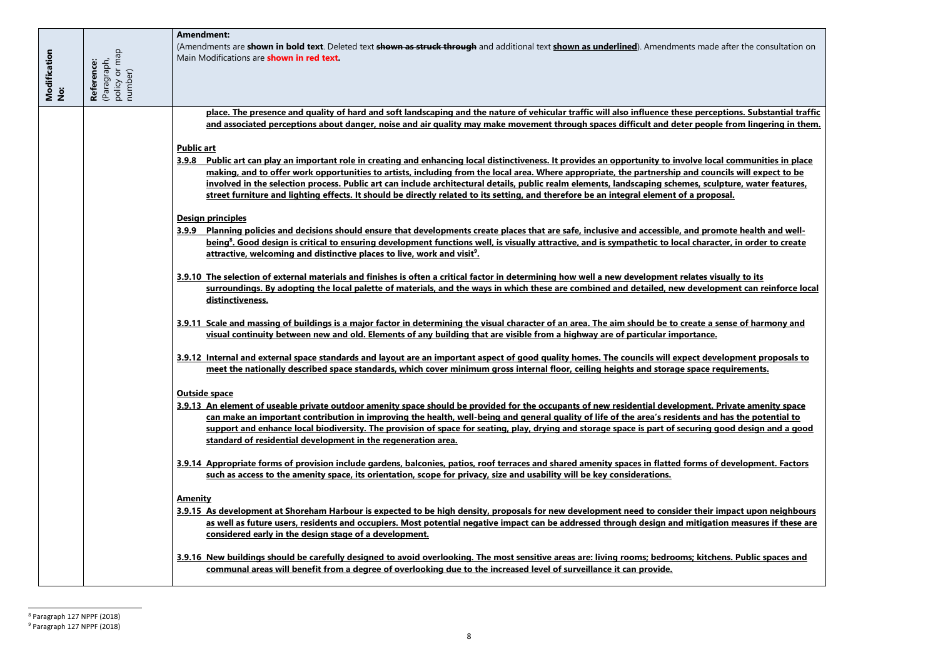<u>rceptions. Substantial traffic</u> <u>ppe from lingering in them.</u>

**3.9.8 Public art can play an important role in creating and enhancing local distinctiveness. It provides an opportunity to involve local communities in place <u>buncils will expect to be</u>** <u>culpture, water features, </u>

**<u>Promote health and well-</u>** racter, in order to create

**dopment can reinforce local** 

**3** sense of harmony and

**3.9.12 Internal and external space standards and layout are an important aspect of good quality homes. The councils will expect development proposals to meet internal internal floors** 

<u>**2. Private amenity space should be private should be provided for the space of the staget for the surge in the occupance residential development. Private amenity space and staget amenity space and staget amenity space an</u> can make an important contribution in improving the health, well-being and general quality of life of the area's residents and has the potential to good design and a good is provided** 

**0.11 Orginal include gardens** 

<u>ir impact upon neighbours</u> <u>ation measures if these are</u>

|                     |                                                       | <b>Amendment:</b>                                                                                                                                                                                                                                                                                                                                                                                                                                                                                                                                                                                                |
|---------------------|-------------------------------------------------------|------------------------------------------------------------------------------------------------------------------------------------------------------------------------------------------------------------------------------------------------------------------------------------------------------------------------------------------------------------------------------------------------------------------------------------------------------------------------------------------------------------------------------------------------------------------------------------------------------------------|
| Modification<br>No: | (Paragraph,<br>policy or map<br>Reference:<br>number) | (Amendments are shown in bold text. Deleted text shown as struck through and additional text shown as underlined). Amendments made after the co<br>Main Modifications are <b>shown in red text.</b>                                                                                                                                                                                                                                                                                                                                                                                                              |
|                     |                                                       | place. The presence and quality of hard and soft landscaping and the nature of vehicular traffic will also influence these perceptions. Subs<br>and associated perceptions about danger, noise and air quality may make movement through spaces difficult and deter people from ling                                                                                                                                                                                                                                                                                                                             |
|                     |                                                       | <b>Public art</b><br>3.9.8 Public art can play an important role in creating and enhancing local distinctiveness. It provides an opportunity to involve local communi<br>making, and to offer work opportunities to artists, including from the local area. Where appropriate, the partnership and councils will exp<br>involved in the selection process. Public art can include architectural details, public realm elements, landscaping schemes, sculpture, wate<br>street furniture and lighting effects. It should be directly related to its setting, and therefore be an integral element of a proposal. |
|                     |                                                       | <b>Design principles</b><br>3.9.9 Planning policies and decisions should ensure that developments create places that are safe, inclusive and accessible, and promote health<br>being <sup>8</sup> . Good design is critical to ensuring development functions well, is visually attractive, and is sympathetic to local character, in order<br>attractive, welcoming and distinctive places to live, work and visit <sup>9</sup> .                                                                                                                                                                               |
|                     |                                                       | 3.9.10 The selection of external materials and finishes is often a critical factor in determining how well a new development relates visually to its<br>surroundings. By adopting the local palette of materials, and the ways in which these are combined and detailed, new development can re<br>distinctiveness.                                                                                                                                                                                                                                                                                              |
|                     |                                                       | 3.9.11 Scale and massing of buildings is a major factor in determining the visual character of an area. The aim should be to create a sense of har<br>visual continuity between new and old. Elements of any building that are visible from a highway are of particular importance.                                                                                                                                                                                                                                                                                                                              |
|                     |                                                       | 3.9.12 Internal and external space standards and layout are an important aspect of good quality homes. The councils will expect development p<br>meet the nationally described space standards, which cover minimum gross internal floor, ceiling heights and storage space requirements                                                                                                                                                                                                                                                                                                                         |
|                     |                                                       | <b>Outside space</b><br>3.9.13 An element of useable private outdoor amenity space should be provided for the occupants of new residential development. Private ame<br>can make an important contribution in improving the health, well-being and general quality of life of the area's residents and has the pot<br>support and enhance local biodiversity. The provision of space for seating, play, drying and storage space is part of securing good design<br>standard of residential development in the regeneration area.                                                                                 |
|                     |                                                       | 3.9.14 Appropriate forms of provision include gardens, balconies, patios, roof terraces and shared amenity spaces in flatted forms of developme<br>such as access to the amenity space, its orientation, scope for privacy, size and usability will be key considerations.                                                                                                                                                                                                                                                                                                                                       |
|                     |                                                       | <b>Amenity</b><br>3.9.15 As development at Shoreham Harbour is expected to be high density, proposals for new development need to consider their impact upor<br>as well as future users, residents and occupiers. Most potential negative impact can be addressed through design and mitigation measure<br>considered early in the design stage of a development.                                                                                                                                                                                                                                                |
|                     |                                                       | 3.9.16 New buildings should be carefully designed to avoid overlooking. The most sensitive areas are: living rooms; bedrooms; kitchens. Public s<br>communal areas will benefit from a degree of overlooking due to the increased level of surveillance it can provide.                                                                                                                                                                                                                                                                                                                                          |

 $\overline{\phantom{a}}$ <sup>8</sup> Paragraph 127 NPPF (2018)

**3.9.16 New buildings should be carefully designed to avoid overlooking. The most sensitive areas are: living rooms; bedrooms; kitchens. Public spaces and** 

 $9$  Paragraph 127 NPPF (2018)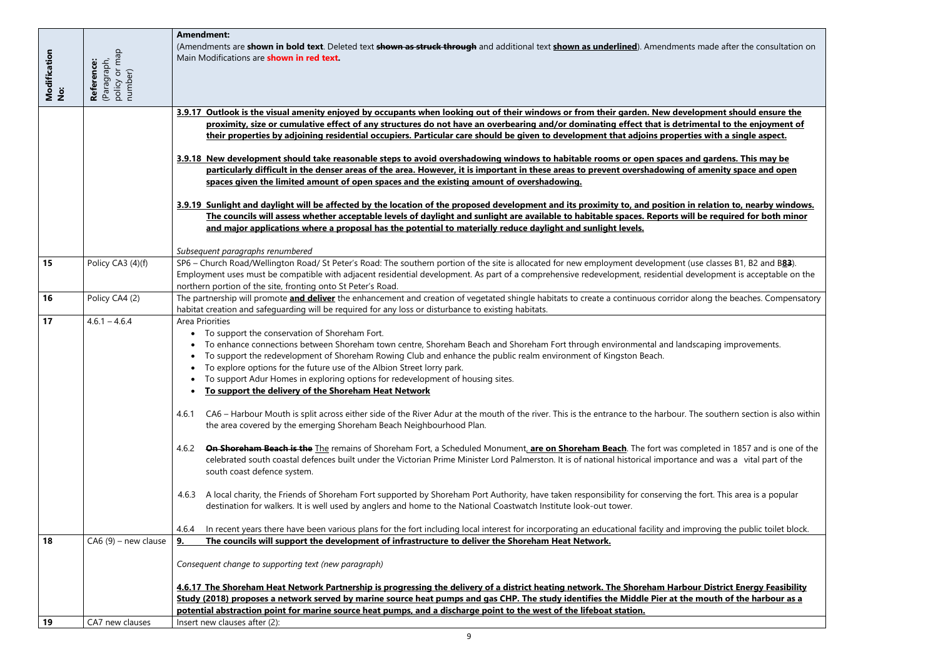|                     |                                                       | <b>Amendment:</b>                                                                                                                                                                                                                                                                                                                                                                                                                      |
|---------------------|-------------------------------------------------------|----------------------------------------------------------------------------------------------------------------------------------------------------------------------------------------------------------------------------------------------------------------------------------------------------------------------------------------------------------------------------------------------------------------------------------------|
| Modification<br>No: | (Paragraph,<br>policy or map<br>number)<br>Reference: | (Amendments are shown in bold text. Deleted text shown as struck through and additional text shown as underlined). Amendments made after the consultation on<br>Main Modifications are <b>shown in red text</b> .                                                                                                                                                                                                                      |
|                     |                                                       | 3.9.17 Outlook is the visual amenity enjoyed by occupants when looking out of their windows or from their garden. New development should ensure the                                                                                                                                                                                                                                                                                    |
|                     |                                                       | proximity, size or cumulative effect of any structures do not have an overbearing and/or dominating effect that is detrimental to the enjoyment of                                                                                                                                                                                                                                                                                     |
|                     |                                                       | their properties by adjoining residential occupiers. Particular care should be given to development that adjoins properties with a single aspect.                                                                                                                                                                                                                                                                                      |
|                     |                                                       |                                                                                                                                                                                                                                                                                                                                                                                                                                        |
|                     |                                                       | 3.9.18 New development should take reasonable steps to avoid overshadowing windows to habitable rooms or open spaces and gardens. This may be                                                                                                                                                                                                                                                                                          |
|                     |                                                       |                                                                                                                                                                                                                                                                                                                                                                                                                                        |
|                     |                                                       | particularly difficult in the denser areas of the area. However, it is important in these areas to prevent overshadowing of amenity space and open                                                                                                                                                                                                                                                                                     |
|                     |                                                       | spaces given the limited amount of open spaces and the existing amount of overshadowing.                                                                                                                                                                                                                                                                                                                                               |
|                     |                                                       | 3.9.19 Sunlight and daylight will be affected by the location of the proposed development and its proximity to, and position in relation to, nearby windows.<br>The councils will assess whether acceptable levels of daylight and sunlight are available to habitable spaces. Reports will be required for both minor<br>and major applications where a proposal has the potential to materially reduce daylight and sunlight levels. |
|                     |                                                       | Subsequent paragraphs renumbered                                                                                                                                                                                                                                                                                                                                                                                                       |
| 15                  | Policy CA3 (4)(f)                                     | SP6 - Church Road/Wellington Road/ St Peter's Road: The southern portion of the site is allocated for new employment development (use classes B1, B2 and B83).                                                                                                                                                                                                                                                                         |
|                     |                                                       | Employment uses must be compatible with adjacent residential development. As part of a comprehensive redevelopment, residential development is acceptable on the                                                                                                                                                                                                                                                                       |
|                     |                                                       | northern portion of the site, fronting onto St Peter's Road.                                                                                                                                                                                                                                                                                                                                                                           |
|                     |                                                       |                                                                                                                                                                                                                                                                                                                                                                                                                                        |
| 16                  | Policy CA4 (2)                                        | The partnership will promote <i>and deliver</i> the enhancement and creation of vegetated shingle habitats to create a continuous corridor along the beaches. Compensatory                                                                                                                                                                                                                                                             |
|                     |                                                       | habitat creation and safeguarding will be required for any loss or disturbance to existing habitats.                                                                                                                                                                                                                                                                                                                                   |
| 17                  | $4.6.1 - 4.6.4$                                       | <b>Area Priorities</b>                                                                                                                                                                                                                                                                                                                                                                                                                 |
|                     |                                                       | To support the conservation of Shoreham Fort.                                                                                                                                                                                                                                                                                                                                                                                          |
|                     |                                                       | To enhance connections between Shoreham town centre, Shoreham Beach and Shoreham Fort through environmental and landscaping improvements.                                                                                                                                                                                                                                                                                              |
|                     |                                                       | To support the redevelopment of Shoreham Rowing Club and enhance the public realm environment of Kingston Beach.                                                                                                                                                                                                                                                                                                                       |
|                     |                                                       | To explore options for the future use of the Albion Street lorry park.                                                                                                                                                                                                                                                                                                                                                                 |
|                     |                                                       | • To support Adur Homes in exploring options for redevelopment of housing sites.                                                                                                                                                                                                                                                                                                                                                       |
|                     |                                                       | To support the delivery of the Shoreham Heat Network                                                                                                                                                                                                                                                                                                                                                                                   |
|                     |                                                       |                                                                                                                                                                                                                                                                                                                                                                                                                                        |
|                     |                                                       | CA6 – Harbour Mouth is split across either side of the River Adur at the mouth of the river. This is the entrance to the harbour. The southern section is also within<br>4.6.1                                                                                                                                                                                                                                                         |
|                     |                                                       | the area covered by the emerging Shoreham Beach Neighbourhood Plan.                                                                                                                                                                                                                                                                                                                                                                    |
|                     |                                                       |                                                                                                                                                                                                                                                                                                                                                                                                                                        |
|                     |                                                       | On Shoreham Beach is the The remains of Shoreham Fort, a Scheduled Monument, are on Shoreham Beach. The fort was completed in 1857 and is one of the<br>4.6.2                                                                                                                                                                                                                                                                          |
|                     |                                                       | celebrated south coastal defences built under the Victorian Prime Minister Lord Palmerston. It is of national historical importance and was a vital part of the                                                                                                                                                                                                                                                                        |
|                     |                                                       | south coast defence system.                                                                                                                                                                                                                                                                                                                                                                                                            |
|                     |                                                       |                                                                                                                                                                                                                                                                                                                                                                                                                                        |
|                     |                                                       | A local charity, the Friends of Shoreham Fort supported by Shoreham Port Authority, have taken responsibility for conserving the fort. This area is a popular<br>4.6.3                                                                                                                                                                                                                                                                 |
|                     |                                                       | destination for walkers. It is well used by anglers and home to the National Coastwatch Institute look-out tower.                                                                                                                                                                                                                                                                                                                      |
|                     |                                                       |                                                                                                                                                                                                                                                                                                                                                                                                                                        |
|                     |                                                       | In recent years there have been various plans for the fort including local interest for incorporating an educational facility and improving the public toilet block.<br>4.6.4                                                                                                                                                                                                                                                          |
| 18                  | $CA6(9)$ – new clause                                 | The councils will support the development of infrastructure to deliver the Shoreham Heat Network.<br>9.                                                                                                                                                                                                                                                                                                                                |
|                     |                                                       |                                                                                                                                                                                                                                                                                                                                                                                                                                        |
|                     |                                                       | Consequent change to supporting text (new paragraph)                                                                                                                                                                                                                                                                                                                                                                                   |
|                     |                                                       |                                                                                                                                                                                                                                                                                                                                                                                                                                        |
|                     |                                                       | 4.6.17 The Shoreham Heat Network Partnership is progressing the delivery of a district heating network. The Shoreham Harbour District Energy Feasibility                                                                                                                                                                                                                                                                               |
|                     |                                                       | Study (2018) proposes a network served by marine source heat pumps and gas CHP. The study identifies the Middle Pier at the mouth of the harbour as a                                                                                                                                                                                                                                                                                  |
|                     |                                                       | potential abstraction point for marine source heat pumps, and a discharge point to the west of the lifeboat station.                                                                                                                                                                                                                                                                                                                   |
| 19                  | CA7 new clauses                                       | Insert new clauses after (2):                                                                                                                                                                                                                                                                                                                                                                                                          |
|                     |                                                       |                                                                                                                                                                                                                                                                                                                                                                                                                                        |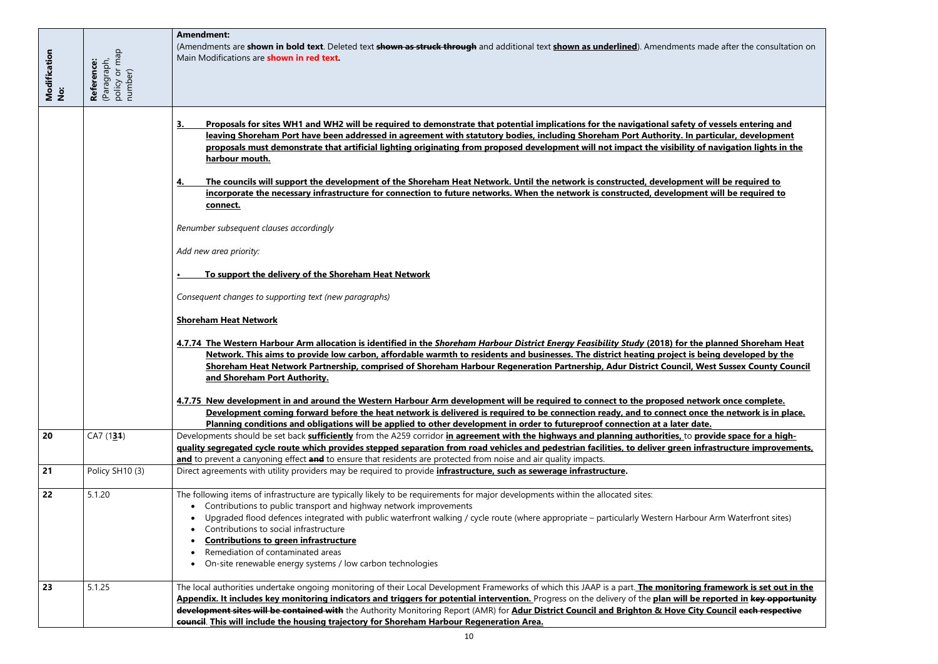$ad$ e after the consultation on <u>**f** vessels entering and </u> <u>leaving proticular, development </u> **<u>f navigation lights in the state from</u> <u>will be required to</u></u> incorporate the necessary infrastructure for connection to future networks. When the network is constructed, development will be required to 4.7.74 The Western Harbour Arm allocation is identified in the** *Shoreham Harbour District Energy Feasibility Study* **(2018) for the planned Shoreham Heat**  . This developed by the **propi**ct heating developed by the **p <u><b>Rest Sussex County Council**</u> <u>bork once complete.</u> **<u>Exercise the network is in place.</u> 20** Oper Sepace for a high**published cycle route the control road vehicles** interpretation in the road vehicles and periodistical vehicles a<br>The step of the step step in frastructure infrastructure improvements, to deliver and periodistructure in t

r Arm Waterfront sites)

**<u>23** framework is set out in the framework is set out in the </u> **Appendix. It includes key monitoring indicators and triggers for potential intervention.** Progress on the delivery of the **plan will be reported in key opportunity deux** Council each respective

|                     |                                                       | <b>Amendment:</b><br>(Amendments are shown in bold text. Deleted text shown as struck through and additional text shown as underlined). Amendments mad<br>Main Modifications are <b>shown in red text.</b>                                                                                                                                                                                                                                                                                                                                                                                                                                                                                        |
|---------------------|-------------------------------------------------------|---------------------------------------------------------------------------------------------------------------------------------------------------------------------------------------------------------------------------------------------------------------------------------------------------------------------------------------------------------------------------------------------------------------------------------------------------------------------------------------------------------------------------------------------------------------------------------------------------------------------------------------------------------------------------------------------------|
| Modification<br>No: | policy or map<br>number)<br>(Paragraph,<br>Reference: |                                                                                                                                                                                                                                                                                                                                                                                                                                                                                                                                                                                                                                                                                                   |
|                     |                                                       | Proposals for sites WH1 and WH2 will be required to demonstrate that potential implications for the navigational safety of v<br>3.<br>leaving Shoreham Port have been addressed in agreement with statutory bodies, including Shoreham Port Authority. In part<br>proposals must demonstrate that artificial lighting originating from proposed development will not impact the visibility of r<br>harbour mouth.<br>The councils will support the development of the Shoreham Heat Network. Until the network is constructed, development w<br><u>4.</u><br>incorporate the necessary infrastructure for connection to future networks. When the network is constructed, development<br>connect. |
|                     |                                                       | Renumber subsequent clauses accordingly<br>Add new area priority:                                                                                                                                                                                                                                                                                                                                                                                                                                                                                                                                                                                                                                 |
|                     |                                                       | To support the delivery of the Shoreham Heat Network                                                                                                                                                                                                                                                                                                                                                                                                                                                                                                                                                                                                                                              |
|                     |                                                       | Consequent changes to supporting text (new paragraphs)                                                                                                                                                                                                                                                                                                                                                                                                                                                                                                                                                                                                                                            |
|                     |                                                       | 4.7.74 The Western Harbour Arm allocation is identified in the Shoreham Harbour District Energy Feasibility Study (2018) for the p<br>Network. This aims to provide low carbon, affordable warmth to residents and businesses. The district heating project is beir<br>Shoreham Heat Network Partnership, comprised of Shoreham Harbour Regeneration Partnership, Adur District Council, Wes<br>and Shoreham Port Authority.                                                                                                                                                                                                                                                                      |
|                     |                                                       | 4.7.75 New development in and around the Western Harbour Arm development will be required to connect to the proposed netwo<br>Development coming forward before the heat network is delivered is required to be connection ready, and to connect once                                                                                                                                                                                                                                                                                                                                                                                                                                             |
| 20                  | CA7(131)                                              | Planning conditions and obligations will be applied to other development in order to futureproof connection at a later date.<br>Developments should be set back sufficiently from the A259 corridor in agreement with the highways and planning authorities, to prov<br>guality segregated cycle route which provides stepped separation from road vehicles and pedestrian facilities, to deliver green infra<br>and to prevent a canyoning effect and to ensure that residents are protected from noise and air quality impacts.                                                                                                                                                                 |
| 21                  | Policy SH10 (3)                                       | Direct agreements with utility providers may be required to provide <i>infrastructure</i> , such as sewerage infrastructure.                                                                                                                                                                                                                                                                                                                                                                                                                                                                                                                                                                      |
| 22                  | 5.1.20                                                | The following items of infrastructure are typically likely to be requirements for major developments within the allocated sites:<br>Contributions to public transport and highway network improvements<br>Upgraded flood defences integrated with public waterfront walking / cycle route (where appropriate – particularly Western Harbour /<br>Contributions to social infrastructure<br><b>Contributions to green infrastructure</b><br>Remediation of contaminated areas<br>On-site renewable energy systems / low carbon technologies<br>$\bullet$                                                                                                                                           |
| 23                  | 5.1.25                                                | The local authorities undertake ongoing monitoring of their Local Development Frameworks of which this JAAP is a part. The monitoring fr<br>Appendix. It includes key monitoring indicators and triggers for potential intervention. Progress on the delivery of the plan will be re<br>development sites will be contained with the Authority Monitoring Report (AMR) for Adur District Council and Brighton & Hove City C<br>council. This will include the housing trajectory for Shoreham Harbour Regeneration Area.                                                                                                                                                                          |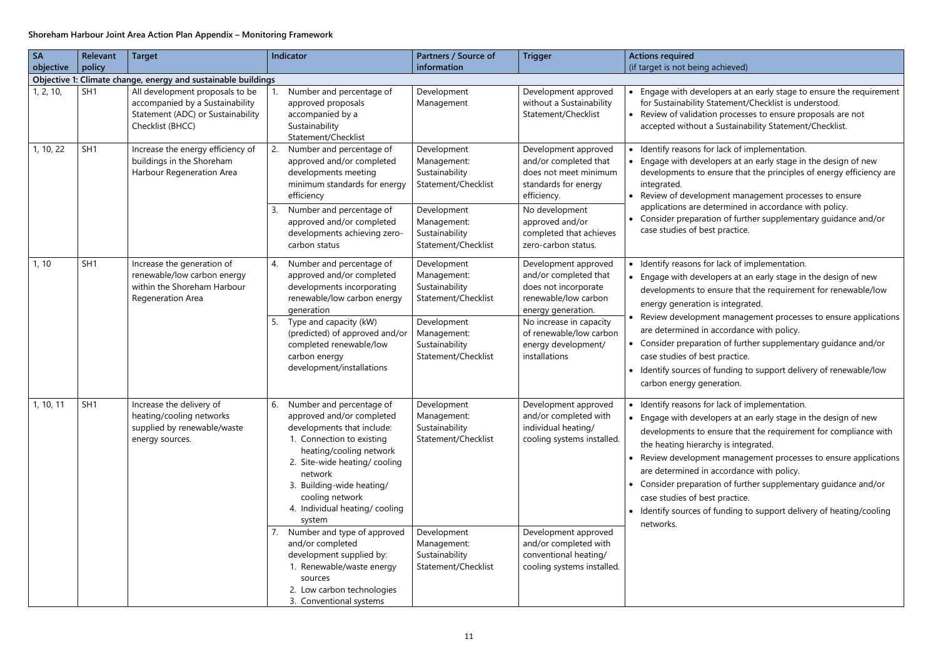### achieved)

lopers at an early stage to ensure the requirement Statement/Checklist is understood. on processes to ensure proposals are not

a Sustainability Statement/Checklist.

or lack of implementation. lopers at an early stage in the design of new ensure that the principles of energy efficiency are

oment management processes to ensure etermined in accordance with policy. ion of further supplementary guidance and/or st practice.

or lack of implementation.

lopers at an early stage in the design of new ensure that the requirement for renewable/low is integrated.

ent management processes to ensure applications accordance with policy.

ion of further supplementary guidance and/or st practice.

funding to support delivery of renewable/low neration.

or lack of implementation.

lopers at an early stage in the design of new ensure that the requirement for compliance with chy is integrated.

ent management processes to ensure applications accordance with policy.

ion of further supplementary guidance and/or st practice.

funding to support delivery of heating/cooling

### **Shoreham Harbour Joint Area Action Plan Appendix – Monitoring Framework**

| <b>SA</b><br>objective | <b>Relevant</b><br>policy | <b>Target</b>                                                                                                               | Indicator                                                                                                                                                                                                                                                                                                                                                                    | Partners / Source of<br>information                                                                                                        | <b>Trigger</b>                                                                                                                                                                                                    | <b>Actions required</b><br>(if target is not being                                                                                                                                                                                      |
|------------------------|---------------------------|-----------------------------------------------------------------------------------------------------------------------------|------------------------------------------------------------------------------------------------------------------------------------------------------------------------------------------------------------------------------------------------------------------------------------------------------------------------------------------------------------------------------|--------------------------------------------------------------------------------------------------------------------------------------------|-------------------------------------------------------------------------------------------------------------------------------------------------------------------------------------------------------------------|-----------------------------------------------------------------------------------------------------------------------------------------------------------------------------------------------------------------------------------------|
|                        |                           | Objective 1: Climate change, energy and sustainable buildings                                                               |                                                                                                                                                                                                                                                                                                                                                                              |                                                                                                                                            |                                                                                                                                                                                                                   |                                                                                                                                                                                                                                         |
| 1, 2, 10,              | SH <sub>1</sub>           | All development proposals to be<br>accompanied by a Sustainability<br>Statement (ADC) or Sustainability<br>Checklist (BHCC) | Number and percentage of<br>approved proposals<br>accompanied by a<br>Sustainability<br>Statement/Checklist                                                                                                                                                                                                                                                                  | Development<br>Management                                                                                                                  | Development approved<br>without a Sustainability<br>Statement/Checklist                                                                                                                                           | • Engage with devel<br>for Sustainability S<br>• Review of validation<br>accepted without a                                                                                                                                             |
| 1, 10, 22              | SH <sub>1</sub>           | Increase the energy efficiency of<br>buildings in the Shoreham<br>Harbour Regeneration Area                                 | Number and percentage of<br>2.<br>approved and/or completed<br>developments meeting<br>minimum standards for energy<br>efficiency                                                                                                                                                                                                                                            | Development<br>Management:<br>Sustainability<br>Statement/Checklist                                                                        | Development approved<br>and/or completed that<br>does not meet minimum<br>standards for energy<br>efficiency.                                                                                                     | • Identify reasons fo<br>Engage with devel<br>developments to e<br>integrated.<br>• Review of develop                                                                                                                                   |
|                        |                           |                                                                                                                             | Number and percentage of<br>3.<br>approved and/or completed<br>developments achieving zero-<br>carbon status                                                                                                                                                                                                                                                                 | Development<br>Management:<br>Sustainability<br>Statement/Checklist                                                                        | No development<br>approved and/or<br>completed that achieves<br>zero-carbon status.                                                                                                                               | applications are de<br>• Consider preparati<br>case studies of bes                                                                                                                                                                      |
| 1, 10                  | SH <sub>1</sub>           | Increase the generation of<br>renewable/low carbon energy<br>within the Shoreham Harbour<br>Regeneration Area               | Number and percentage of<br>4.<br>approved and/or completed<br>developments incorporating<br>renewable/low carbon energy<br>generation<br>Type and capacity (kW)<br>5.<br>(predicted) of approved and/or<br>completed renewable/low<br>carbon energy<br>development/installations                                                                                            | Development<br>Management:<br>Sustainability<br>Statement/Checklist<br>Development<br>Management:<br>Sustainability<br>Statement/Checklist | Development approved<br>and/or completed that<br>does not incorporate<br>renewable/low carbon<br>energy generation.<br>No increase in capacity<br>of renewable/low carbon<br>energy development/<br>installations | • Identify reasons fo<br>Engage with devel<br>$\bullet$<br>developments to e<br>energy generation<br>Review developme<br>are determined in<br>• Consider preparati<br>case studies of bes<br>• Identify sources of<br>carbon energy ger |
| 1, 10, 11              | SH <sub>1</sub>           | Increase the delivery of<br>heating/cooling networks<br>supplied by renewable/waste<br>energy sources.                      | Number and percentage of<br>ь.<br>approved and/or completed<br>developments that include:<br>1. Connection to existing<br>heating/cooling network<br>2. Site-wide heating/cooling<br>network<br>3. Building-wide heating/<br>cooling network<br>4. Individual heating/cooling<br>system<br>Number and type of approved<br>7.<br>and/or completed<br>development supplied by: | Development<br>Management:<br>Sustainability<br>Statement/Checklist<br>Development<br>Management:<br>Sustainability                        | Development approved<br>and/or completed with<br>individual heating/<br>cooling systems installed.<br>Development approved<br>and/or completed with<br>conventional heating/                                      | Identify reasons fo<br>$\bullet$<br>• Engage with devel<br>developments to e<br>the heating hierard<br>• Review developme<br>are determined in<br>• Consider preparati<br>case studies of bes<br>• Identify sources of<br>networks.     |
|                        |                           |                                                                                                                             | 1. Renewable/waste energy<br>sources<br>2. Low carbon technologies<br>3. Conventional systems                                                                                                                                                                                                                                                                                | Statement/Checklist                                                                                                                        | cooling systems installed.                                                                                                                                                                                        |                                                                                                                                                                                                                                         |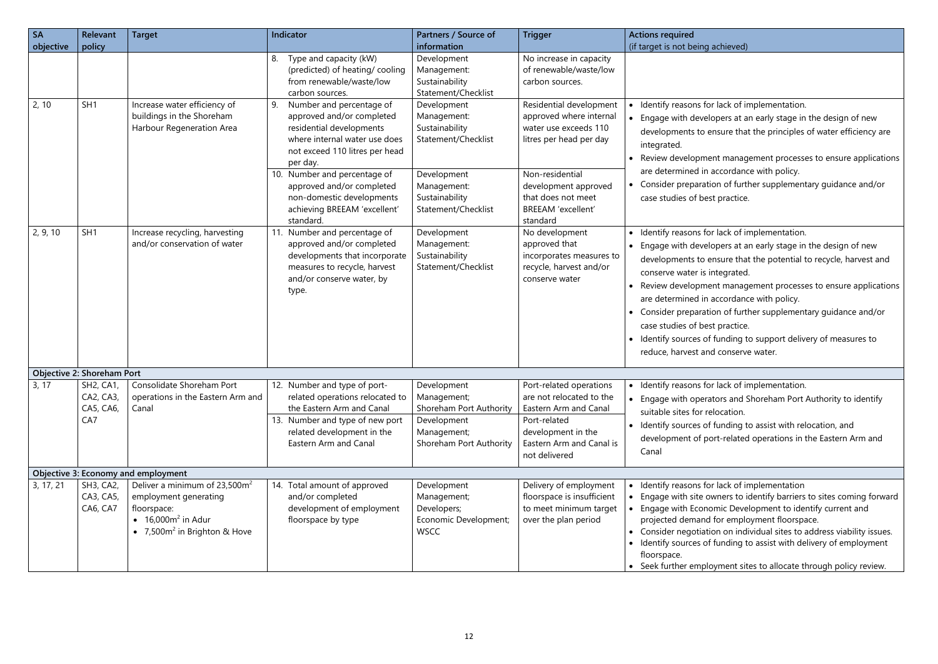For lack of implementation.

elopers at an early stage in the design of new ensure that the principles of water efficiency are

ent management processes to ensure applications accordance with policy.

tion of further supplementary guidance and/or est practice.

for lack of implementation.

elopers at an early stage in the design of new ensure that the potential to recycle, harvest and integrated.

ent management processes to ensure applications accordance with policy.

tion of further supplementary guidance and/or est practice.

If funding to support delivery of measures to nd conserve water.

for lack of implementation.

rators and Shoreham Port Authority to identify relocation.

If funding to assist with relocation, and

oort-related operations in the Eastern Arm and

or lack of implementation

owners to identify barriers to sites coming forward nomic Development to identify current and d for employment floorspace.

tion on individual sites to address viability issues. If funding to assist with delivery of employment

loyment sites to allocate through policy review.

| <b>SA</b> | <b>Relevant</b>                            | <b>Target</b>                                                                                                                        | Indicator                                                                                                                                                                                                                                                                                                     | Partners / Source of                                                                                                                       | <b>Trigger</b>                                                                                                                                                                                                   | <b>Actions required</b>                                                                                                                                                                                                                  |
|-----------|--------------------------------------------|--------------------------------------------------------------------------------------------------------------------------------------|---------------------------------------------------------------------------------------------------------------------------------------------------------------------------------------------------------------------------------------------------------------------------------------------------------------|--------------------------------------------------------------------------------------------------------------------------------------------|------------------------------------------------------------------------------------------------------------------------------------------------------------------------------------------------------------------|------------------------------------------------------------------------------------------------------------------------------------------------------------------------------------------------------------------------------------------|
| objective | policy                                     |                                                                                                                                      |                                                                                                                                                                                                                                                                                                               | information                                                                                                                                |                                                                                                                                                                                                                  | (if target is not being                                                                                                                                                                                                                  |
|           |                                            |                                                                                                                                      | Type and capacity (kW)<br>8.<br>(predicted) of heating/cooling<br>from renewable/waste/low<br>carbon sources.                                                                                                                                                                                                 | Development<br>Management:<br>Sustainability<br>Statement/Checklist                                                                        | No increase in capacity<br>of renewable/waste/low<br>carbon sources.                                                                                                                                             |                                                                                                                                                                                                                                          |
| 2, 10     | SH <sub>1</sub>                            | Increase water efficiency of<br>buildings in the Shoreham<br>Harbour Regeneration Area                                               | 9.<br>Number and percentage of<br>approved and/or completed<br>residential developments<br>where internal water use does<br>not exceed 110 litres per head<br>per day.<br>10. Number and percentage of<br>approved and/or completed<br>non-domestic developments<br>achieving BREEAM 'excellent'<br>standard. | Development<br>Management:<br>Sustainability<br>Statement/Checklist<br>Development<br>Management:<br>Sustainability<br>Statement/Checklist | Residential development<br>approved where internal<br>water use exceeds 110<br>litres per head per day<br>Non-residential<br>development approved<br>that does not meet<br><b>BREEAM</b> 'excellent'<br>standard | Identify reasons fo<br>Engage with deve<br>$\bullet$<br>developments to<br>integrated.<br>Review developm<br>are determined in<br>Consider preparat<br>$\bullet$<br>case studies of be                                                   |
| 2, 9, 10  | SH <sub>1</sub>                            | Increase recycling, harvesting<br>and/or conservation of water                                                                       | Number and percentage of<br>11.<br>approved and/or completed<br>developments that incorporate<br>measures to recycle, harvest<br>and/or conserve water, by<br>type.                                                                                                                                           | Development<br>Management:<br>Sustainability<br>Statement/Checklist                                                                        | No development<br>approved that<br>incorporates measures to<br>recycle, harvest and/or<br>conserve water                                                                                                         | Identify reasons fo<br>Engage with deve<br>$\bullet$<br>developments to<br>conserve water is<br>Review developm<br>$\bullet$<br>are determined in<br>Consider preparat<br>case studies of be<br>Identify sources o<br>reduce, harvest ar |
|           | <b>Objective 2: Shoreham Port</b>          |                                                                                                                                      |                                                                                                                                                                                                                                                                                                               |                                                                                                                                            |                                                                                                                                                                                                                  |                                                                                                                                                                                                                                          |
| 3, 17     | SH2, CA1,<br>CA2, CA3,<br>CA5, CA6,<br>CA7 | Consolidate Shoreham Port<br>operations in the Eastern Arm and<br>Canal                                                              | 12. Number and type of port-<br>related operations relocated to<br>the Eastern Arm and Canal<br>13. Number and type of new port<br>related development in the<br>Eastern Arm and Canal                                                                                                                        | Development<br>Management;<br>Shoreham Port Authority<br>Development<br>Management;<br>Shoreham Port Authority                             | Port-related operations<br>are not relocated to the<br>Eastern Arm and Canal<br>Port-related<br>development in the<br>Eastern Arm and Canal is<br>not delivered                                                  | Identify reasons fo<br>$\bullet$<br>Engage with oper<br>$\bullet$<br>suitable sites for r<br>Identify sources o<br>$\bullet$<br>development of p<br>Canal                                                                                |
|           |                                            | Objective 3: Economy and employment                                                                                                  |                                                                                                                                                                                                                                                                                                               |                                                                                                                                            |                                                                                                                                                                                                                  |                                                                                                                                                                                                                                          |
| 3, 17, 21 | SH3, CA2,<br>CA3, CA5,<br>CA6, CA7         | Deliver a minimum of $23,500m^2$<br>employment generating<br>floorspace:<br>• $16,000m^2$ in Adur<br>• $7,500m^2$ in Brighton & Hove | 14. Total amount of approved<br>and/or completed<br>development of employment<br>floorspace by type                                                                                                                                                                                                           | Development<br>Management;<br>Developers;<br>Economic Development;<br><b>WSCC</b>                                                          | Delivery of employment<br>floorspace is insufficient<br>to meet minimum target<br>over the plan period                                                                                                           | Identify reasons fo<br>Engage with site o<br>$\bullet$<br>Engage with Econ<br>$\bullet$<br>projected demand<br>Consider negotiat<br>$\bullet$<br>Identify sources o<br>floorspace.<br>• Seek further empl                                |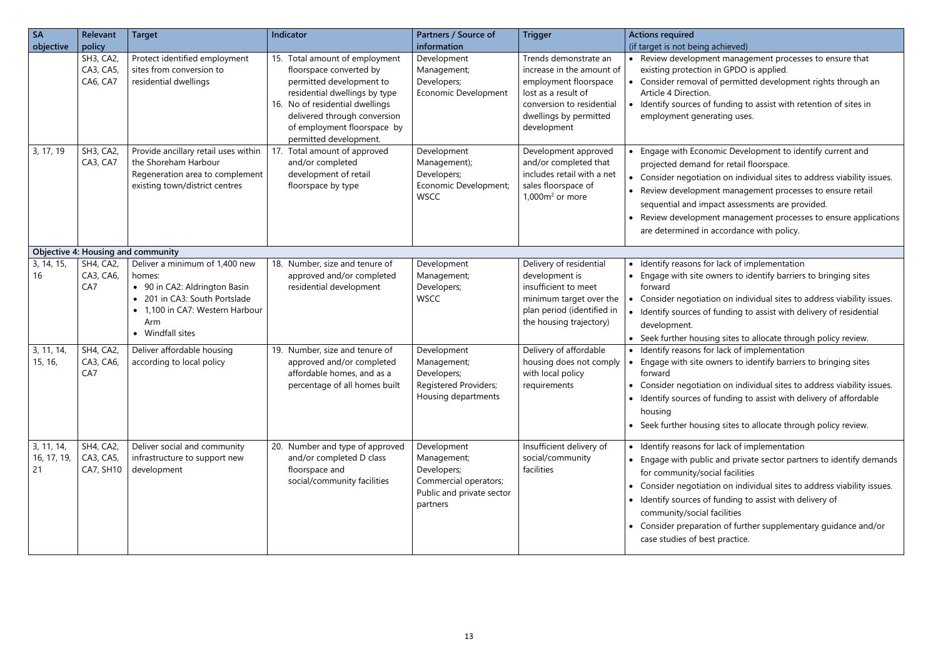achieved)

ent management processes to ensure that n in GPDO is applied.

of permitted development rights through an

If funding to assist with retention of sites in erating uses.

omic Development to identify current and for retail floorspace.

ion on individual sites to address viability issues.

ent management processes to ensure retail

pact assessments are provided.

ent management processes to ensure applications accordance with policy.

or lack of implementation but are site of dentify barriers to bringing sites

ion on individual sites to address viability issues.  $\frac{1}{2}$  funding to assist with delivery of residential

ing sites to allocate through policy review. or lack of implementation but are site of dentify barriers to bringing sites

ion on individual sites to address viability issues. If unding to assist with delivery of affordable

ing sites to allocate through policy review.

or lack of implementation

ic and private sector partners to identify demands cial facilities

ion on individual sites to address viability issues.

funding to assist with delivery of

facilities

tion of further supplementary guidance and/or st practice.

| <b>SA</b><br>objective          | Relevant<br>policy                         | <b>Target</b>                                                                                                                                                        | Indicator                                                                                                                                                                                                                                          | Partners / Source of<br>information                                                                         | <b>Trigger</b>                                                                                                                                                           | <b>Actions required</b><br>(if target is not being                                                                                                                                   |
|---------------------------------|--------------------------------------------|----------------------------------------------------------------------------------------------------------------------------------------------------------------------|----------------------------------------------------------------------------------------------------------------------------------------------------------------------------------------------------------------------------------------------------|-------------------------------------------------------------------------------------------------------------|--------------------------------------------------------------------------------------------------------------------------------------------------------------------------|--------------------------------------------------------------------------------------------------------------------------------------------------------------------------------------|
|                                 | SH3, CA2<br>CA3, CA5,<br>CA6, CA7          | Protect identified employment<br>sites from conversion to<br>residential dwellings                                                                                   | 15. Total amount of employment<br>floorspace converted by<br>permitted development to<br>residential dwellings by type<br>16. No of residential dwellings<br>delivered through conversion<br>of employment floorspace by<br>permitted development. | Development<br>Management;<br>Developers;<br><b>Economic Development</b>                                    | Trends demonstrate an<br>increase in the amount of<br>employment floorspace<br>lost as a result of<br>conversion to residential<br>dwellings by permitted<br>development | • Review developme<br>existing protection<br>• Consider removal<br>Article 4 Direction.<br>• Identify sources of<br>employment gene                                                  |
| 3, 17, 19                       | SH3, CA2<br>CA3, CA7                       | Provide ancillary retail uses within<br>the Shoreham Harbour<br>Regeneration area to complement<br>existing town/district centres                                    | 17. Total amount of approved<br>and/or completed<br>development of retail<br>floorspace by type                                                                                                                                                    | Development<br>Management);<br>Developers;<br>Economic Development;<br><b>WSCC</b>                          | Development approved<br>and/or completed that<br>includes retail with a net<br>sales floorspace of<br>$1,000m2$ or more                                                  | • Engage with Econd<br>projected demand<br>• Consider negotiati<br>• Review developme<br>sequential and im<br>• Review developme<br>are determined in                                |
|                                 |                                            | <b>Objective 4: Housing and community</b>                                                                                                                            |                                                                                                                                                                                                                                                    |                                                                                                             |                                                                                                                                                                          |                                                                                                                                                                                      |
| 3, 14, 15,<br>16                | <b>SH4, CA2,</b><br>CA3, CA6,<br>CA7       | Deliver a minimum of 1,400 new<br>homes:<br>• 90 in CA2: Aldrington Basin<br>201 in CA3: South Portslade<br>1,100 in CA7: Western Harbour<br>Arm<br>• Windfall sites | 18. Number, size and tenure of<br>approved and/or completed<br>residential development                                                                                                                                                             | Development<br>Management;<br>Developers;<br><b>WSCC</b>                                                    | Delivery of residential<br>development is<br>insufficient to meet<br>minimum target over the<br>plan period (identified in<br>the housing trajectory)                    | • Identify reasons fo<br>• Engage with site o<br>forward<br>• Consider negotiati<br>• Identify sources of<br>development.<br>• Seek further housi                                    |
| 3, 11, 14,<br>15, 16,           | SH4, CA2<br>CA3, CA6,<br>CA7               | Deliver affordable housing<br>according to local policy                                                                                                              | 19. Number, size and tenure of<br>approved and/or completed<br>affordable homes, and as a<br>percentage of all homes built                                                                                                                         | Development<br>Management;<br>Developers;<br>Registered Providers;<br>Housing departments                   | Delivery of affordable<br>housing does not comply<br>with local policy<br>requirements                                                                                   | • Identify reasons fo<br>Engage with site o<br>forward<br>• Consider negotiati<br>• Identify sources of<br>housing<br>• Seek further housi                                           |
| 3, 11, 14,<br>16, 17, 19,<br>21 | <b>SH4, CA2,</b><br>CA3, CA5,<br>CA7, SH10 | Deliver social and community<br>infrastructure to support new<br>development                                                                                         | 20. Number and type of approved<br>and/or completed D class<br>floorspace and<br>social/community facilities                                                                                                                                       | Development<br>Management;<br>Developers;<br>Commercial operators;<br>Public and private sector<br>partners | Insufficient delivery of<br>social/community<br>facilities                                                                                                               | • Identify reasons fo<br>• Engage with publi-<br>for community/so<br>• Consider negotiati<br>• Identify sources of<br>community/social<br>• Consider preparat<br>case studies of bes |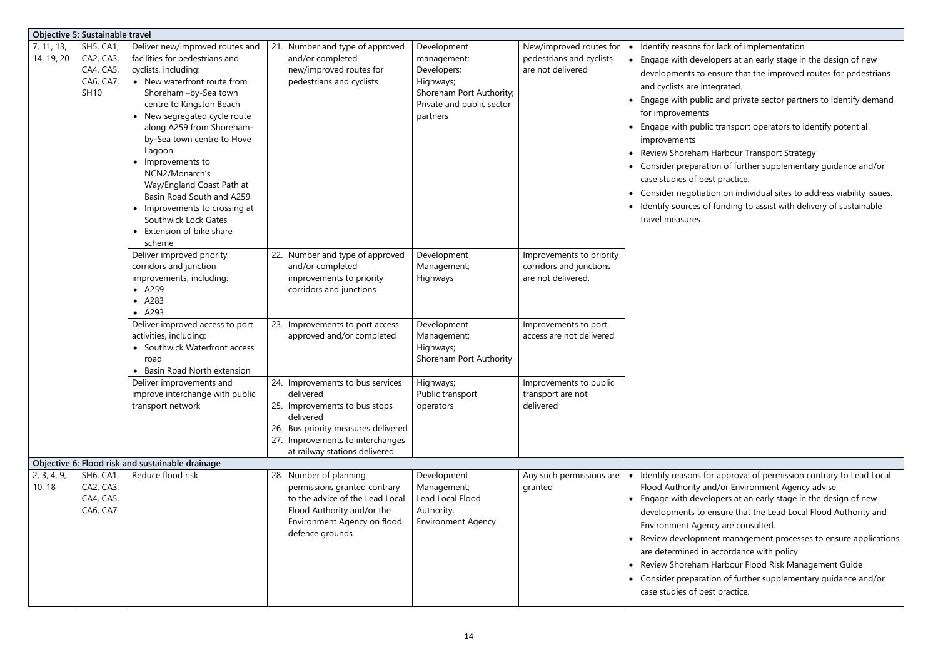- Interpretation
- opers at an early stage in the design of new ensure that the improved routes for pedestrians egrated.
- cand private sector partners to identify demand

I transport operators to identify potential

- Harbour Transport Strategy
- ion of further supplementary guidance and/or st practice.
- ion on individual sites to address viability issues.  $\frac{1}{2}$  funding to assist with delivery of sustainable

r approval of permission contrary to Lead Local Id/or Environment Agency advise

- opers at an early stage in the design of new ensure that the Lead Local Flood Authority and cy are consulted.
- Int management processes to ensure applications accordance with policy.
- Harbour Flood Risk Management Guide
- on of further supplementary guidance and/or st practice.

|                          | <b>Objective 5: Sustainable travel</b>                                 |                                                                                                                                                                                                                                                                                                                                                                                                                                                                                                |                                                                                                                                                                                                         |                                                                                                                             |                                                                           |                                                                                                                                                                                                                                                                                                                            |
|--------------------------|------------------------------------------------------------------------|------------------------------------------------------------------------------------------------------------------------------------------------------------------------------------------------------------------------------------------------------------------------------------------------------------------------------------------------------------------------------------------------------------------------------------------------------------------------------------------------|---------------------------------------------------------------------------------------------------------------------------------------------------------------------------------------------------------|-----------------------------------------------------------------------------------------------------------------------------|---------------------------------------------------------------------------|----------------------------------------------------------------------------------------------------------------------------------------------------------------------------------------------------------------------------------------------------------------------------------------------------------------------------|
| 7, 11, 13,<br>14, 19, 20 | <b>SH5, CA1,</b><br>CA2, CA3,<br>CA4, CA5,<br>CA6, CA7,<br><b>SH10</b> | Deliver new/improved routes and<br>facilities for pedestrians and<br>cyclists, including:<br>• New waterfront route from<br>Shoreham -by-Sea town<br>centre to Kingston Beach<br>• New segregated cycle route<br>along A259 from Shoreham-<br>by-Sea town centre to Hove<br>Lagoon<br>Improvements to<br>$\bullet$<br>NCN2/Monarch's<br>Way/England Coast Path at<br>Basin Road South and A259<br>• Improvements to crossing at<br>Southwick Lock Gates<br>• Extension of bike share<br>scheme | 21. Number and type of approved<br>and/or completed<br>new/improved routes for<br>pedestrians and cyclists                                                                                              | Development<br>management;<br>Developers;<br>Highways;<br>Shoreham Port Authority;<br>Private and public sector<br>partners | New/improved routes for<br>pedestrians and cyclists<br>are not delivered  | • Identify reasons for<br>• Engage with develo<br>developments to e<br>and cyclists are inte<br>Engage with public<br>for improvements<br>• Engage with public<br>improvements<br>Review Shoreham I<br>• Consider preparation<br>case studies of bes<br>• Consider negotiation<br>• Identify sources of<br>travel measures |
|                          |                                                                        | Deliver improved priority<br>corridors and junction<br>improvements, including:<br>$\bullet$ A259<br>• A283<br>• A293                                                                                                                                                                                                                                                                                                                                                                          | 22. Number and type of approved<br>and/or completed<br>improvements to priority<br>corridors and junctions                                                                                              | Development<br>Management;<br>Highways                                                                                      | Improvements to priority<br>corridors and junctions<br>are not delivered. |                                                                                                                                                                                                                                                                                                                            |
|                          |                                                                        | Deliver improved access to port<br>activities, including:<br>• Southwick Waterfront access<br>road<br>Basin Road North extension                                                                                                                                                                                                                                                                                                                                                               | 23. Improvements to port access<br>approved and/or completed                                                                                                                                            | Development<br>Management;<br>Highways;<br>Shoreham Port Authority                                                          | Improvements to port<br>access are not delivered                          |                                                                                                                                                                                                                                                                                                                            |
|                          |                                                                        | Deliver improvements and<br>improve interchange with public<br>transport network                                                                                                                                                                                                                                                                                                                                                                                                               | 24. Improvements to bus services<br>delivered<br>25. Improvements to bus stops<br>delivered<br>26. Bus priority measures delivered<br>27. Improvements to interchanges<br>at railway stations delivered | Highways;<br>Public transport<br>operators                                                                                  | Improvements to public<br>transport are not<br>delivered                  |                                                                                                                                                                                                                                                                                                                            |
|                          |                                                                        | Objective 6: Flood risk and sustainable drainage                                                                                                                                                                                                                                                                                                                                                                                                                                               |                                                                                                                                                                                                         |                                                                                                                             |                                                                           |                                                                                                                                                                                                                                                                                                                            |
| 2, 3, 4, 9,<br>10, 18    | SH6, CA1,<br>CA2, CA3,<br>CA4, CA5,<br>CA6, CA7                        | Reduce flood risk                                                                                                                                                                                                                                                                                                                                                                                                                                                                              | 28. Number of planning<br>permissions granted contrary<br>to the advice of the Lead Local<br>Flood Authority and/or the<br>Environment Agency on flood<br>defence grounds                               | Development<br>Management;<br>Lead Local Flood<br>Authority;<br><b>Environment Agency</b>                                   | Any such permissions are<br>granted                                       | • Identify reasons for<br>Flood Authority an<br>• Engage with develo<br>developments to e<br>Environment Agen<br>• Review developme<br>are determined in a<br>Review Shoreham I<br>• Consider preparation<br>case studies of bes                                                                                           |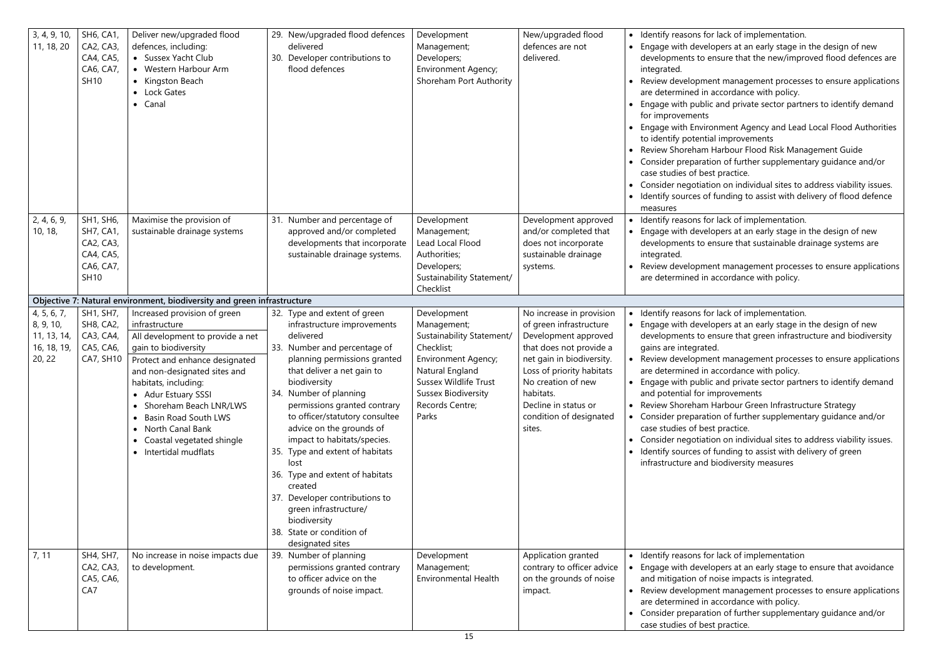For lack of implementation.

- elopers at an early stage in the design of new ensure that the new/improved flood defences are
- ent management processes to ensure applications accordance with policy.
- lic and private sector partners to identify demand
- ronment Agency and Lead Local Flood Authorities tial improvements
- Harbour Flood Risk Management Guide
- tion of further supplementary guidance and/or est practice.
- tion on individual sites to address viability issues. If funding to assist with delivery of flood defence

For lack of implementation.

- elopers at an early stage in the design of new ensure that sustainable drainage systems are
- ent management processes to ensure applications accordance with policy.

For lack of implementation.

- elopers at an early stage in the design of new ensure that green infrastructure and biodiversity ted.
- ent management processes to ensure applications accordance with policy.
- lic and private sector partners to identify demand improvements
- Harbour Green Infrastructure Strategy
- tion of further supplementary guidance and/or est practice.
- tion on individual sites to address viability issues. If funding to assist with delivery of green
- biodiversity measures

**Iomark of implementation** 

- elopers at an early stage to ensure that avoidance f noise impacts is integrated.
- ent management processes to ensure applications accordance with policy.
- tion of further supplementary guidance and/or est practice.

| 3, 4, 9, 10,<br>11, 18, 20                                       | SH6, CA1,<br>CA2, CA3,<br>CA4, CA5,<br>CA6, CA7,<br><b>SH10</b>                     | Deliver new/upgraded flood<br>defences, including:<br>• Sussex Yacht Club<br>• Western Harbour Arm<br>• Kingston Beach<br>Lock Gates<br>• Canal                                                                                                                                                                                                                                                       | 30. | 29. New/upgraded flood defences<br>delivered<br>Developer contributions to<br>flood defences                                                                                                                                                                                                                                                                                                                                                                                                                                                                       | Development<br>Management;<br>Developers;<br><b>Environment Agency;</b><br>Shoreham Port Authority                                                                                                        | New/upgraded flood<br>defences are not<br>delivered.                                                                                                                                                                                                             | $\bullet$                           | • Identify reasons fo<br>Engage with deve<br>developments to<br>integrated.<br>Review developm<br>are determined in<br>Engage with publi<br>for improvements<br>Engage with Envir<br>to identify potent<br>Review Shoreham<br>Consider preparat<br>case studies of be<br>Consider negotiat<br>Identify sources o<br>measures |
|------------------------------------------------------------------|-------------------------------------------------------------------------------------|-------------------------------------------------------------------------------------------------------------------------------------------------------------------------------------------------------------------------------------------------------------------------------------------------------------------------------------------------------------------------------------------------------|-----|--------------------------------------------------------------------------------------------------------------------------------------------------------------------------------------------------------------------------------------------------------------------------------------------------------------------------------------------------------------------------------------------------------------------------------------------------------------------------------------------------------------------------------------------------------------------|-----------------------------------------------------------------------------------------------------------------------------------------------------------------------------------------------------------|------------------------------------------------------------------------------------------------------------------------------------------------------------------------------------------------------------------------------------------------------------------|-------------------------------------|------------------------------------------------------------------------------------------------------------------------------------------------------------------------------------------------------------------------------------------------------------------------------------------------------------------------------|
| 2, 4, 6, 9,<br>10, 18,                                           | SH1, SH6,<br><b>SH7, CA1,</b><br>CA2, CA3,<br>CA4, CA5,<br>CA6, CA7,<br><b>SH10</b> | Maximise the provision of<br>sustainable drainage systems                                                                                                                                                                                                                                                                                                                                             |     | 31. Number and percentage of<br>approved and/or completed<br>developments that incorporate<br>sustainable drainage systems.                                                                                                                                                                                                                                                                                                                                                                                                                                        | Development<br>Management;<br>Lead Local Flood<br>Authorities;<br>Developers;<br>Sustainability Statement/<br>Checklist                                                                                   | Development approved<br>and/or completed that<br>does not incorporate<br>sustainable drainage<br>systems.                                                                                                                                                        |                                     | Identify reasons fo<br>Engage with deve<br>developments to<br>integrated.<br>Review developm<br>are determined in                                                                                                                                                                                                            |
|                                                                  |                                                                                     | Objective 7: Natural environment, biodiversity and green infrastructure                                                                                                                                                                                                                                                                                                                               |     |                                                                                                                                                                                                                                                                                                                                                                                                                                                                                                                                                                    |                                                                                                                                                                                                           |                                                                                                                                                                                                                                                                  |                                     |                                                                                                                                                                                                                                                                                                                              |
| 4, 5, 6, 7,<br>8, 9, 10,<br>11, 13, 14,<br>16, 18, 19,<br>20, 22 | SH1, SH7,<br><b>SH8, CA2,</b><br>CA3, CA4,<br>CA5, CA6,<br>CA7, SH10                | Increased provision of green<br>infrastructure<br>All development to provide a net<br>gain to biodiversity<br>Protect and enhance designated<br>and non-designated sites and<br>habitats, including:<br>• Adur Estuary SSSI<br>Shoreham Beach LNR/LWS<br><b>Basin Road South LWS</b><br>$\bullet$<br>North Canal Bank<br>$\bullet$<br>Coastal vegetated shingle<br>$\bullet$<br>• Intertidal mudflats |     | 32. Type and extent of green<br>infrastructure improvements<br>delivered<br>33. Number and percentage of<br>planning permissions granted<br>that deliver a net gain to<br>biodiversity<br>34. Number of planning<br>permissions granted contrary<br>to officer/statutory consultee<br>advice on the grounds of<br>impact to habitats/species.<br>35. Type and extent of habitats<br>lost<br>36. Type and extent of habitats<br>created<br>37. Developer contributions to<br>green infrastructure/<br>biodiversity<br>38. State or condition of<br>designated sites | Development<br>Management;<br>Sustainability Statement/<br>Checklist;<br>Environment Agency;<br>Natural England<br><b>Sussex Wildlife Trust</b><br><b>Sussex Biodiversity</b><br>Records Centre;<br>Parks | No increase in provision<br>of green infrastructure<br>Development approved<br>that does not provide a<br>net gain in biodiversity.<br>Loss of priority habitats<br>No creation of new<br>habitats.<br>Decline in status or<br>condition of designated<br>sites. | $\bullet$<br>$\bullet$<br>$\bullet$ | Identify reasons fo<br>Engage with deve<br>developments to<br>gains are integrat<br>Review developm<br>are determined in<br>• Engage with publi<br>and potential for<br>Review Shoreham<br>Consider preparat<br>case studies of be<br>Consider negotiat<br>Identify sources o<br>infrastructure and                          |
| 7, 11                                                            | SH4, SH7,<br>CA2, CA3,<br>CA5, CA6,<br>CA7                                          | No increase in noise impacts due<br>to development.                                                                                                                                                                                                                                                                                                                                                   |     | 39. Number of planning<br>permissions granted contrary<br>to officer advice on the<br>grounds of noise impact.                                                                                                                                                                                                                                                                                                                                                                                                                                                     | Development<br>Management;<br><b>Environmental Health</b>                                                                                                                                                 | Application granted<br>contrary to officer advice<br>on the grounds of noise<br>impact.                                                                                                                                                                          | $\bullet$                           | • Identify reasons fo<br>Engage with deve<br>and mitigation of<br>Review developm<br>are determined in<br>Consider preparat<br>case studies of be                                                                                                                                                                            |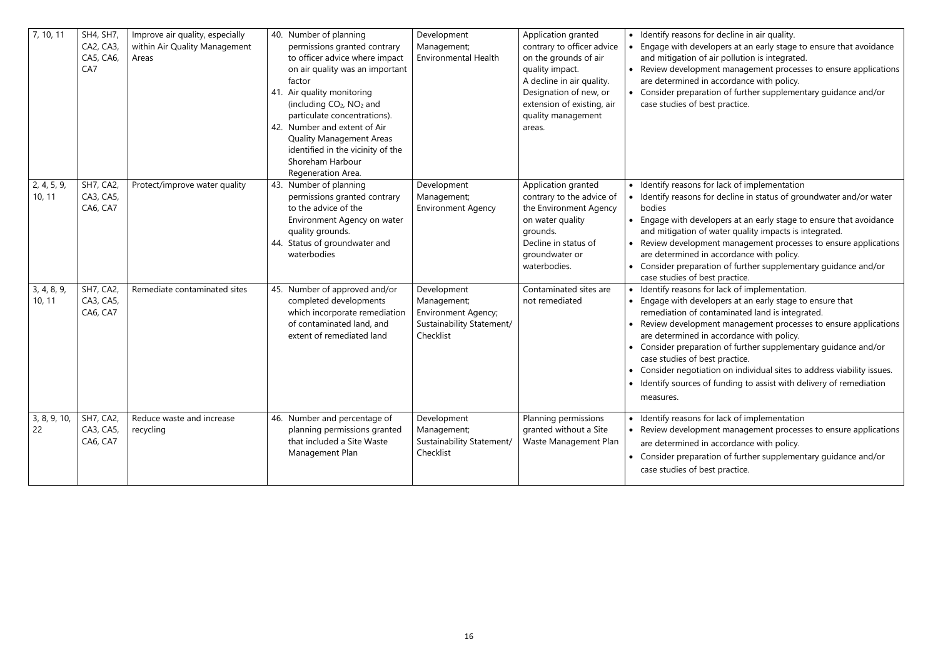for decline in air quality.

- elopers at an early stage to ensure that avoidance f air pollution is integrated.
- nent management processes to ensure applications accordance with policy.
- Ition of further supplementary guidance and/or est practice.

for lack of implementation for decline in status of groundwater and/or water

- elopers at an early stage to ensure that avoidance f water quality impacts is integrated.
- ent management processes to ensure applications accordance with policy.
- tion of further supplementary guidance and/or est practice.
- for lack of implementation.
- elopers at an early stage to ensure that
- ontaminated land is integrated.
- nent management processes to ensure applications accordance with policy.
- tion of further supplementary guidance and/or est practice.
- tion on individual sites to address viability issues.
- of funding to assist with delivery of remediation

for lack of implementation

- ent management processes to ensure applications accordance with policy.
- tion of further supplementary guidance and/or est practice.

| 7, 10, 11             | SH4, SH7,<br>CA2, CA3,<br>CA5, CA6,<br>CA7 | Improve air quality, especially<br>within Air Quality Management<br>Areas | Number of planning<br>40.<br>permissions granted contrary<br>to officer advice where impact<br>on air quality was an important<br>factor<br>41. Air quality monitoring<br>(including CO <sub>2</sub> , NO <sub>2</sub> and<br>particulate concentrations).<br>42. Number and extent of Air<br><b>Quality Management Areas</b><br>identified in the vicinity of the<br>Shoreham Harbour<br>Regeneration Area. | Development<br>Management;<br><b>Environmental Health</b>                                          | Application granted<br>contrary to officer advice<br>on the grounds of air<br>quality impact.<br>A decline in air quality.<br>Designation of new, or<br>extension of existing, air<br>quality management<br>areas. | Identify reasons fo<br>$\bullet$<br>Engage with deve<br>$\bullet$<br>and mitigation of<br>Review developm<br>are determined in<br>Consider preparat<br>$\bullet$<br>case studies of be                                 |
|-----------------------|--------------------------------------------|---------------------------------------------------------------------------|--------------------------------------------------------------------------------------------------------------------------------------------------------------------------------------------------------------------------------------------------------------------------------------------------------------------------------------------------------------------------------------------------------------|----------------------------------------------------------------------------------------------------|--------------------------------------------------------------------------------------------------------------------------------------------------------------------------------------------------------------------|------------------------------------------------------------------------------------------------------------------------------------------------------------------------------------------------------------------------|
| 2, 4, 5, 9,<br>10, 11 | <b>SH7, CA2,</b><br>CA3, CA5,<br>CA6, CA7  | Protect/improve water quality                                             | Number of planning<br>43.<br>permissions granted contrary<br>to the advice of the<br>Environment Agency on water<br>quality grounds.<br>44. Status of groundwater and<br>waterbodies                                                                                                                                                                                                                         | Development<br>Management;<br><b>Environment Agency</b>                                            | Application granted<br>contrary to the advice of<br>the Environment Agency<br>on water quality<br>grounds.<br>Decline in status of<br>groundwater or<br>waterbodies.                                               | • Identify reasons fo<br>Identify reasons fo<br>bodies<br>Engage with deve<br>and mitigation of<br>Review developm<br>$\bullet$<br>are determined in<br>Consider preparat<br>$\bullet$<br>case studies of be           |
| 3, 4, 8, 9,<br>10, 11 | <b>SH7, CA2,</b><br>CA3, CA5,<br>CA6, CA7  | Remediate contaminated sites                                              | 45. Number of approved and/or<br>completed developments<br>which incorporate remediation<br>of contaminated land, and<br>extent of remediated land                                                                                                                                                                                                                                                           | Development<br>Management;<br><b>Environment Agency;</b><br>Sustainability Statement/<br>Checklist | Contaminated sites are<br>not remediated                                                                                                                                                                           | Identify reasons fo<br>Engage with deve<br>remediation of co<br>Review developm<br>are determined in<br>Consider preparat<br>case studies of be<br>• Consider negotiat<br>Identify sources o<br>$\bullet$<br>measures. |
| 3, 8, 9, 10,<br>22    | <b>SH7, CA2,</b><br>CA3, CA5,<br>CA6, CA7  | Reduce waste and increase<br>recycling                                    | 46. Number and percentage of<br>planning permissions granted<br>that included a Site Waste<br>Management Plan                                                                                                                                                                                                                                                                                                | Development<br>Management;<br>Sustainability Statement/<br>Checklist                               | Planning permissions<br>granted without a Site<br>Waste Management Plan                                                                                                                                            | • Identify reasons fo<br>Review developm<br>are determined in<br>Consider preparat<br>$\bullet$<br>case studies of be                                                                                                  |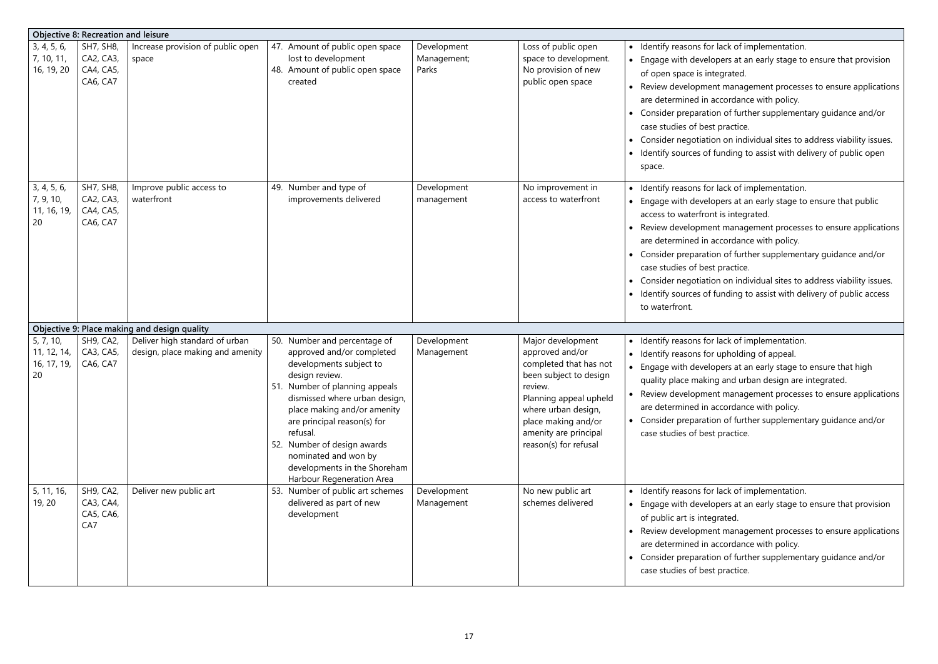- For lack of implementation.
- lopers at an early stage to ensure that provision ntegrated.
- ent management processes to ensure applications accordance with policy.
- tion of further supplementary guidance and/or est practice.
- tion on individual sites to address viability issues.
- If funding to assist with delivery of public open

Ior lack of implementation.

- lopers at an early stage to ensure that public ont is integrated.
- ent management processes to ensure applications accordance with policy.
- tion of further supplementary guidance and/or est practice.
- tion on individual sites to address viability issues.
- If funding to assist with delivery of public access

For lack of implementation.

- or upholding of appeal.
- elopers at an early stage to ensure that high ing and urban design are integrated.
- ent management processes to ensure applications accordance with policy.
- tion of further supplementary guidance and/or est practice.

for lack of implementation.

- lopers at an early stage to ensure that provision egrated.
- ent management processes to ensure applications accordance with policy.
- tion of further supplementary guidance and/or est practice.

|                                               | <b>Objective 8: Recreation and leisure</b>             |                                                                    |                                                                                                                                                                                                                                                                                                                                                                         |                                     |                                                                                                                                                                                                                               |                                                                                                                                                                                                                                                    |
|-----------------------------------------------|--------------------------------------------------------|--------------------------------------------------------------------|-------------------------------------------------------------------------------------------------------------------------------------------------------------------------------------------------------------------------------------------------------------------------------------------------------------------------------------------------------------------------|-------------------------------------|-------------------------------------------------------------------------------------------------------------------------------------------------------------------------------------------------------------------------------|----------------------------------------------------------------------------------------------------------------------------------------------------------------------------------------------------------------------------------------------------|
| 3, 4, 5, 6,<br>7, 10, 11,<br>16, 19, 20       | <b>SH7, SH8,</b><br>CA2, CA3,<br>CA4, CA5,<br>CA6, CA7 | Increase provision of public open<br>space                         | 47. Amount of public open space<br>lost to development<br>48. Amount of public open space<br>created                                                                                                                                                                                                                                                                    | Development<br>Management;<br>Parks | Loss of public open<br>space to development.<br>No provision of new<br>public open space                                                                                                                                      | Identify reasons fo<br>$\bullet$<br>Engage with deve<br>$\bullet$<br>of open space is in<br>Review developm<br>$\bullet$<br>are determined in<br>Consider preparat<br>case studies of be<br>Consider negotiat<br>٠<br>Identify sources o<br>space. |
| 3, 4, 5, 6,<br>7, 9, 10,<br>11, 16, 19,<br>20 | <b>SH7, SH8,</b><br>CA2, CA3,<br>CA4, CA5,<br>CA6, CA7 | Improve public access to<br>waterfront                             | 49. Number and type of<br>improvements delivered                                                                                                                                                                                                                                                                                                                        | Development<br>management           | No improvement in<br>access to waterfront                                                                                                                                                                                     | Identify reasons fo<br>Engage with deve<br>$\bullet$<br>access to waterfro<br>Review developm<br>$\bullet$<br>are determined in<br>Consider preparat<br>case studies of be<br>Consider negotiat<br>Identify sources o<br>to waterfront.            |
|                                               |                                                        | Objective 9: Place making and design quality                       |                                                                                                                                                                                                                                                                                                                                                                         |                                     |                                                                                                                                                                                                                               |                                                                                                                                                                                                                                                    |
| 5, 7, 10,<br>11, 12, 14,<br>16, 17, 19,<br>20 | <b>SH9, CA2,</b><br>CA3, CA5,<br>CA6, CA7              | Deliver high standard of urban<br>design, place making and amenity | 50. Number and percentage of<br>approved and/or completed<br>developments subject to<br>design review.<br>51. Number of planning appeals<br>dismissed where urban design,<br>place making and/or amenity<br>are principal reason(s) for<br>refusal.<br>52. Number of design awards<br>nominated and won by<br>developments in the Shoreham<br>Harbour Regeneration Area | Development<br>Management           | Major development<br>approved and/or<br>completed that has not<br>been subject to design<br>review.<br>Planning appeal upheld<br>where urban design,<br>place making and/or<br>amenity are principal<br>reason(s) for refusal | Identify reasons fo<br>$\bullet$<br>Identify reasons fo<br>$\bullet$<br>Engage with deve<br>quality place maki<br>• Review developm<br>are determined in<br>Consider preparat<br>$\bullet$<br>case studies of be                                   |
| 5, 11, 16,<br>19, 20                          | <b>SH9, CA2,</b><br>CA3, CA4,<br>CA5, CA6,<br>CA7      | Deliver new public art                                             | 53. Number of public art schemes<br>delivered as part of new<br>development                                                                                                                                                                                                                                                                                             | Development<br>Management           | No new public art<br>schemes delivered                                                                                                                                                                                        | Identify reasons fo<br>$\bullet$<br>Engage with deve<br>of public art is inte<br>Review developm<br>$\bullet$<br>are determined in<br>Consider preparat<br>$\bullet$<br>case studies of be                                                         |